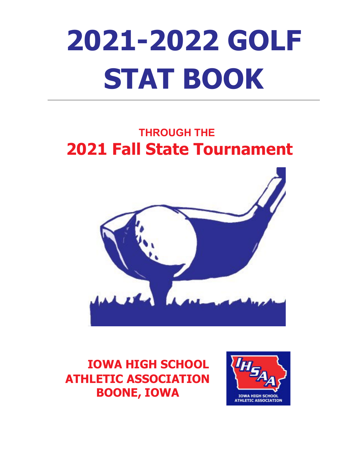# **2021-2022 GOLF STAT BOOK**

# **THROUGH THE 2021 Fall State Tournament**



**IOWA HIGH SCHOOL ATHLETIC ASSOCIATION BOONE, IOWA**

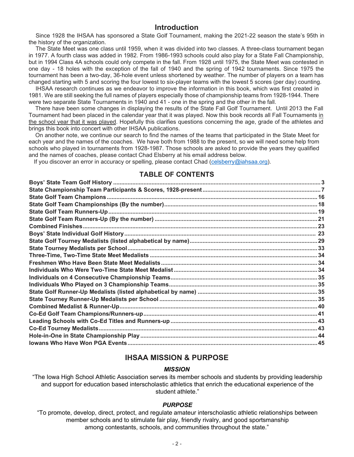# **Introduction**

Since 1928 the IHSAA has sponsored a State Golf Tournament, making the 2021-22 season the state's 95th in the history of the organization.

The State Meet was one class until 1959, when it was divided into two classes. A three-class tournament began in 1977. A fourth class was added in 1982. From 1986-1993 schools could also play for a State Fall Championship, but in 1994 Class 4A schools could only compete in the fall. From 1928 until 1975, the State Meet was contested in one day - 18 holes with the exception of the fall of 1940 and the spring of 1942 tournaments. Since 1975 the tournament has been a two-day, 36-hole event unless shortened by weather. The number of players on a team has changed starting with 5 and scoring the four lowest to six-player teams with the lowest 5 scores (per day) counting.

IHSAA research continues as we endeavor to improve the information in this book, which was first created in 1981. We are still seeking the full names of players especially those of championship teams from 1928-1944. There were two separate State Tournaments in 1940 and 41 - one in the spring and the other in the fall.

There have been some changes in displaying the results of the State Fall Golf Tournament. Until 2013 the Fall Tournament had been placed in the calendar year that it was played. Now this book records all Fall Tournaments in the school year that it was played. Hopefully this clarifies questions concerning the age, grade of the athletes and brings this book into concert with other IHSAA publications.

On another note, we continue our search to find the names of the teams that participated in the State Meet for each year and the names of the coaches. We have both from 1988 to the present, so we will need some help from schools who played in tournaments from 1928-1987. Those schools are asked to provide the years they qualified and the names of coaches, please contact Chad Elsberry at his email address below.

If you discover an error in accuracy or spelling, please contact Chad [\(celsberry@iahsaa.org\)](mailto:celsberry@iahsaa.org).

## **TABLE OF CONTENTS**

# **IHSAA MISSION & PURPOSE**

#### *MISSION*

"The Iowa High School Athletic Association serves its member schools and students by providing leadership and support for education based interscholastic athletics that enrich the educational experience of the student athlete."

#### *PURPOSE*

"To promote, develop, direct, protect, and regulate amateur interscholastic athletic relationships between member schools and to stimulate fair play, friendly rivalry, and good sportsmanship among contestants, schools, and communities throughout the state."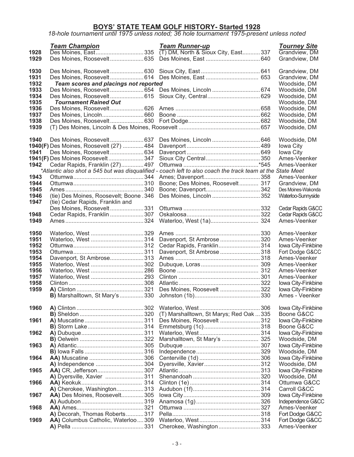# **BOYS' STATE TEAM GOLF HISTORY- Started 1928**

#### *18-hole tournament until 1975 unless noted; 36 hole tournament 1975-present unless noted*

|      | <b>Team Champion</b>                           | <b>Team Runner-up</b>                                                                                      | <b>Tourney Site</b>                 |
|------|------------------------------------------------|------------------------------------------------------------------------------------------------------------|-------------------------------------|
| 1928 |                                                |                                                                                                            | Grandview, DM                       |
| 1929 |                                                | Des Moines, Roosevelt635 Des Moines, East 640                                                              | Grandview, DM                       |
|      |                                                |                                                                                                            |                                     |
| 1930 |                                                |                                                                                                            | Grandview, DM                       |
| 1931 |                                                |                                                                                                            | Grandview, DM                       |
| 1932 | Team scores and placings not reported          |                                                                                                            | Woodside, DM                        |
| 1933 |                                                | Des Moines, Roosevelt654 Des Moines, Lincoln  674                                                          | Woodside, DM                        |
| 1934 |                                                | Des Moines, Roosevelt 615 Sioux City, Central 629                                                          | Woodside, DM                        |
| 1935 | <b>Tournament Rained Out</b>                   |                                                                                                            | Woodside, DM                        |
| 1936 |                                                |                                                                                                            | Woodside, DM                        |
| 1937 |                                                |                                                                                                            | Woodside, DM                        |
| 1938 |                                                |                                                                                                            | Woodside, DM                        |
| 1939 |                                                |                                                                                                            | Woodside, DM                        |
| 1940 |                                                | Des Moines, Lincoln  646                                                                                   |                                     |
|      |                                                |                                                                                                            | Woodside, DM                        |
| 1941 | <b>1940(F)</b> Des Moines, Roosevelt (27)  484 |                                                                                                            | Iowa City                           |
|      | 1941(F) Des Moines Roosevelt 347               |                                                                                                            | Iowa City<br>Ames-Veenker           |
| 1942 |                                                |                                                                                                            | Ames-Veenker                        |
|      | Cedar Rapids, Franklin (27) 497                | *Atlantic also shot a 545 but was disqualified - coach left to also coach the track team at the State Meet |                                     |
| 1943 |                                                |                                                                                                            | Ames-Veenker                        |
| 1944 |                                                |                                                                                                            |                                     |
| 1945 |                                                | Boone; Des Moines, Roosevelt 317                                                                           | Grandview, DM<br>Des Moines-Wakonda |
| 1946 | (tie) Des Moines, Roosevelt; Boone . 346       | Des Moines, Lincoln  352                                                                                   | Waterloo-Sunnyside                  |
| 1947 | (tie) Cedar Rapids, Franklin and               |                                                                                                            |                                     |
|      |                                                |                                                                                                            | Cedar Rapids G&CC                   |
| 1948 | Cedar Rapids, Franklin  307                    |                                                                                                            | Cedar Rapids G&CC                   |
| 1949 |                                                |                                                                                                            | Ames-Veenker                        |
|      |                                                |                                                                                                            |                                     |
| 1950 |                                                |                                                                                                            | Ames-Veenker                        |
| 1951 |                                                | Davenport, St Ambrose 320                                                                                  | Ames-Veenker                        |
| 1952 |                                                | Cedar Rapids, Franklin314                                                                                  | Iowa City-Finkbine                  |
| 1953 |                                                | Davenport, St Ambrose  318                                                                                 | Fort Dodge G&CC                     |
| 1954 | Davenport, St Ambrose313                       |                                                                                                            | Ames-Veenker                        |
| 1955 |                                                |                                                                                                            | Ames-Veenker                        |
| 1956 |                                                |                                                                                                            | Ames-Veenker                        |
| 1957 |                                                |                                                                                                            | Ames-Veenker                        |
| 1958 |                                                |                                                                                                            | Iowa City-Finkbine                  |
| 1959 |                                                | Des Moines, Roosevelt  322                                                                                 | Iowa City-Finkbine                  |
|      | <b>B)</b> Marshalltown, St Mary's330           |                                                                                                            | Ames - Veenker                      |
|      |                                                |                                                                                                            |                                     |
| 1960 |                                                |                                                                                                            | Iowa City-Finkbine                  |
|      |                                                | (T) Marshalltown, St Marys; Red Oak  335                                                                   | Boone G&CC                          |
| 1961 |                                                | Des Moines, Roosevelt  312                                                                                 | Iowa City-Finkbine                  |
|      |                                                |                                                                                                            | Boone G&CC                          |
| 1962 |                                                |                                                                                                            | Iowa City-Finkbine                  |
|      |                                                | Marshalltown, St Mary's  325                                                                               | Woodside, DM                        |
| 1963 |                                                |                                                                                                            | Iowa City-Finkbine                  |
|      |                                                |                                                                                                            | Woodside, DM                        |
| 1964 |                                                |                                                                                                            | Iowa City-Finkbine                  |
|      |                                                |                                                                                                            | Woodside, DM                        |
| 1965 |                                                |                                                                                                            | Iowa City-Finkbine                  |
|      | A) Dyersville, Xavier 311                      |                                                                                                            | Woodside, DM                        |
| 1966 |                                                |                                                                                                            | Ottumwa G&CC                        |
|      | A) Cherokee, Washington 313                    |                                                                                                            | Carroll G&CC                        |
| 1967 | AA) Des Moines, Roosevelt305                   |                                                                                                            | Iowa City-Finkbine                  |
|      |                                                |                                                                                                            | Independence G&CC<br>Ames-Veenker   |
| 1968 | A) Decorah, Thomas Roberts 317                 |                                                                                                            |                                     |
| 1969 | AA) Columbus Catholic, Waterloo309             |                                                                                                            | Fort Dodge G&CC<br>Fort Dodge G&CC  |
|      |                                                | Cherokee, Washington 333                                                                                   | Ames-Veenker                        |
|      |                                                |                                                                                                            |                                     |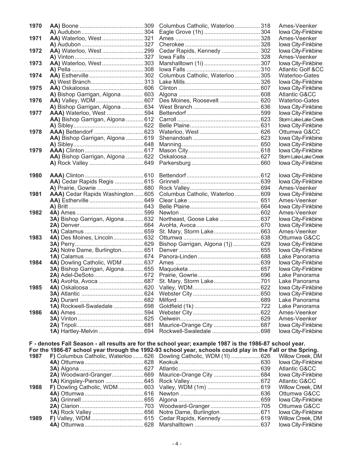| 1970 |                                                                                                           | Columbus Catholic, Waterloo318   |      | Ames-Veenker                           |
|------|-----------------------------------------------------------------------------------------------------------|----------------------------------|------|----------------------------------------|
|      |                                                                                                           |                                  |      | Iowa City-Finkbi                       |
| 1971 | AA) Waterloo, West321                                                                                     |                                  |      | Ames-Veenker                           |
|      |                                                                                                           |                                  |      | Iowa City-Finkbi                       |
| 1972 | AA) Waterloo, West  299                                                                                   | Cedar Rapids, Kennedy  302       |      | Iowa City-Finkbi                       |
|      |                                                                                                           |                                  |      | Ames-Veenker                           |
| 1973 | AA) Waterloo, West 303                                                                                    |                                  |      | Iowa City-Finkbi                       |
|      |                                                                                                           |                                  |      | Atlantic Golf &                        |
| 1974 |                                                                                                           | Columbus Catholic, Waterloo305   |      | Waterloo-Gate                          |
|      |                                                                                                           |                                  |      | Iowa City-Finkbi                       |
| 1975 |                                                                                                           |                                  |      | Iowa City-Finkbi                       |
|      | A) Bishop Garrigan, Algona 603                                                                            |                                  |      | <b>Atlantic G&amp;CC</b>               |
| 1976 |                                                                                                           | Des Moines, Roosevelt  620       |      | Waterloo-Gate                          |
|      | A) Bishop Garrigan, Algona 634                                                                            |                                  |      | Iowa City-Finkbi                       |
| 1977 | <b>AAA)</b> Waterloo, West 594                                                                            |                                  |      | Iowa City-Finkbi                       |
|      | AA) Bishop Garrigan, Algona  612                                                                          |                                  |      | Storm Lake-Lake Cr<br>Iowa City-Finkbi |
| 1978 |                                                                                                           |                                  |      | Ottumwa G&C                            |
|      | AA) Bishop Garrigan, Algona  619                                                                          |                                  |      | Iowa City-Finkbi                       |
|      |                                                                                                           |                                  |      | Iowa City-Finkbi                       |
| 1979 |                                                                                                           |                                  |      | Iowa City-Finkbi                       |
|      | AA) Bishop Garrigan, Algona  622                                                                          |                                  |      | Storm Lake-Lake Cr                     |
|      |                                                                                                           |                                  |      | Iowa City-Finkbi                       |
|      |                                                                                                           |                                  |      |                                        |
| 1980 |                                                                                                           |                                  |      | Iowa City-Finkbi                       |
|      | AA) Cedar Rapids Regis  615                                                                               |                                  |      | Iowa City-Finkbi                       |
|      |                                                                                                           |                                  |      | Ames-Veenker                           |
| 1981 | AAA) Cedar Rapids Washington 605                                                                          | Columbus Catholic, Waterloo 609  |      | Iowa City-Finkbi                       |
|      |                                                                                                           |                                  |      | Ames-Veenker                           |
|      |                                                                                                           |                                  |      | Iowa City-Finkbi                       |
| 1982 |                                                                                                           |                                  |      | Ames-Veenker                           |
|      | 3A) Bishop Garrigan, Algona 632                                                                           | Northeast, Goose Lake  637       |      | Iowa City-Finkbi                       |
|      |                                                                                                           |                                  |      | Iowa City-Finkbi                       |
|      |                                                                                                           |                                  |      | Ames-Veenker                           |
| 1983 | 4A) Des Moines, Lincoln632                                                                                |                                  |      | Ottumwa G&C                            |
|      |                                                                                                           | Bishop Garrigan, Algona (1j) 629 |      | Iowa City-Finkbi                       |
|      | 2A) Notre Dame, Burlington651                                                                             |                                  |      | Iowa City-Finkbi                       |
|      |                                                                                                           |                                  |      | Lake Panoram                           |
| 1984 | 4A) Dowling Catholic, WDM  637                                                                            |                                  |      | Iowa City-Finkbi                       |
|      | 3A) Bishop Garrigan, Algona 655                                                                           |                                  |      | Iowa City-Finkbi                       |
|      |                                                                                                           |                                  |      | Lake Panoram                           |
|      |                                                                                                           |                                  |      | Lake Panoram                           |
| 1985 |                                                                                                           |                                  |      | Iowa City-Finkbi                       |
|      |                                                                                                           |                                  |      | Iowa City-Finkbi                       |
|      |                                                                                                           |                                  |      | Lake Panoram                           |
|      | 1A) Rockwell-Swaledale 698                                                                                |                                  |      | Lake Panoram                           |
| 1986 |                                                                                                           |                                  |      | Ames-Veenker                           |
|      |                                                                                                           |                                  |      | Ames-Veenker                           |
|      |                                                                                                           |                                  |      | Iowa City-Finkbi                       |
|      | 1A) Hartley-Melvin  694                                                                                   |                                  |      | Iowa City-Finkbi                       |
|      | F - denotes Fall Season - all results are for the school year; example 1987 is the 1986-87 school year.   |                                  |      |                                        |
|      | For the 1986-87 school year through the 1992-93 school year, schools could play in the Fall or the Spring |                                  |      |                                        |
| 1987 | F) Columbus Catholic, Waterloo  626 Dowling Catholic, WDM (1l)  626                                       |                                  |      | Willow Creek, D                        |
|      |                                                                                                           |                                  |      | Iowa City-Finkbi                       |
|      |                                                                                                           |                                  |      | <b>Atlantic G&amp;CC</b>               |
|      | 2A) Woodward-Granger669 Maurice-Orange City  684                                                          |                                  |      | Iowa City-Finkbi                       |
|      |                                                                                                           |                                  |      | <b>Atlantic G&amp;CC</b>               |
| 1988 |                                                                                                           |                                  | .619 | Willow Creek, D                        |

| 1970 |                                  | Columbus Catholic, Waterloo318   | Ames-Veenker                 |
|------|----------------------------------|----------------------------------|------------------------------|
|      |                                  |                                  | Iowa City-Finkbine           |
| 1971 | AA) Waterloo, West 321           |                                  | Ames-Veenker                 |
|      |                                  |                                  | Iowa City-Finkbine           |
| 1972 | AA) Waterloo, West 299           | Cedar Rapids, Kennedy  302       | Iowa City-Finkbine           |
|      |                                  |                                  | Ames-Veenker                 |
| 1973 | AA) Waterloo, West 303           |                                  | Iowa City-Finkbine           |
|      |                                  |                                  | <b>Atlantic Golf &amp;CC</b> |
| 1974 |                                  | Columbus Catholic, Waterloo 305  | Waterloo-Gates               |
|      |                                  |                                  | Iowa City-Finkbine           |
| 1975 |                                  |                                  | Iowa City-Finkbine           |
|      | A) Bishop Garrigan, Algona 603   |                                  | Atlantic G&CC                |
| 1976 |                                  | Des Moines, Roosevelt  620       | <b>Waterloo-Gates</b>        |
|      | A) Bishop Garrigan, Algona 634   |                                  | Iowa City-Finkbine           |
| 1977 | AAA) Waterloo, West 594          |                                  | Iowa City-Finkbine           |
|      | AA) Bishop Garrigan, Algona  612 |                                  | Storm Lake-Lake Creek        |
|      |                                  |                                  | Iowa City-Finkbine           |
| 1978 |                                  |                                  | Ottumwa G&CC                 |
|      | AA) Bishop Garrigan, Algona  619 |                                  | Iowa City-Finkbine           |
|      |                                  |                                  | Iowa City-Finkbine           |
| 1979 |                                  |                                  | Iowa City-Finkbine           |
|      | AA) Bishop Garrigan, Algona  622 |                                  | Storm Lake-Lake Creek        |
|      |                                  |                                  | Iowa City-Finkbine           |
| 1980 |                                  |                                  | Iowa City-Finkbine           |
|      | AA) Cedar Rapids Regis  615      |                                  | Iowa City-Finkbine           |
|      |                                  |                                  | Ames-Veenker                 |
| 1981 | AAA) Cedar Rapids Washington605  | Columbus Catholic, Waterloo 609  | Iowa City-Finkbine           |
|      |                                  |                                  | Ames-Veenker                 |
|      |                                  |                                  | Iowa City-Finkbine           |
| 1982 |                                  |                                  | Ames-Veenker                 |
|      | 3A) Bishop Garrigan, Algona 632  | Northeast, Goose Lake  637       | Iowa City-Finkbine           |
|      |                                  |                                  | Iowa City-Finkbine           |
|      |                                  | St. Mary, Storm Lake 663         | Ames-Veenker                 |
| 1983 | 4A) Des Moines, Lincoln 632      |                                  | Ottumwa G&CC                 |
|      |                                  | Bishop Garrigan, Algona (1j) 629 | Iowa City-Finkbine           |
|      | 2A) Notre Dame, Burlington 651   |                                  | Iowa City-Finkbine           |
|      |                                  |                                  | Lake Panorama                |
| 1984 | 4A) Dowling Catholic, WDM  637   |                                  | Iowa City-Finkbine           |
|      | 3A) Bishop Garrigan, Algona 655  |                                  | Iowa City-Finkbine           |
|      |                                  |                                  | Lake Panorama                |
|      | 1A) AvoHa, Avoca  687            |                                  | Lake Panorama                |
| 1985 |                                  |                                  | Iowa City-Finkbine           |
|      |                                  |                                  | Iowa City-Finkbine           |
|      |                                  |                                  | Lake Panorama                |
|      | 1A) Rockwell-Swaledale  698      |                                  | Lake Panorama                |
| 1986 |                                  |                                  | Ames-Veenker                 |
|      |                                  |                                  | Ames-Veenker                 |
|      |                                  |                                  |                              |
|      |                                  | Maurice-Orange City  687         | Iowa City-Finkbine           |
|      | 1A) Hartley-Melvin  694          |                                  | Iowa City-Finkbine           |

#### **F - denotes Fall Season - all results are for the school year; example 1987 is the 1986-87 school year. For the 1986-87 school year through the 1992-93 school year, schools could play in the Fall or the Spring.**

|      | 1987 F) Columbus Catholic, Waterloo  626 Dowling Catholic, WDM (1l)  626 Willow Creek, DM |                    |
|------|-------------------------------------------------------------------------------------------|--------------------|
|      |                                                                                           | Iowa City-Finkbine |
|      |                                                                                           | Atlantic G&CC      |
|      | 2A) Woodward-Granger669 Maurice-Orange City 684                                           | Iowa City-Finkbine |
|      |                                                                                           | Atlantic G&CC      |
| 1988 |                                                                                           |                    |
|      |                                                                                           |                    |
|      |                                                                                           | Iowa City-Finkbine |
|      |                                                                                           |                    |
|      |                                                                                           | Iowa City-Finkbine |
| 1989 |                                                                                           |                    |
|      |                                                                                           | Iowa City-Finkbine |
|      |                                                                                           |                    |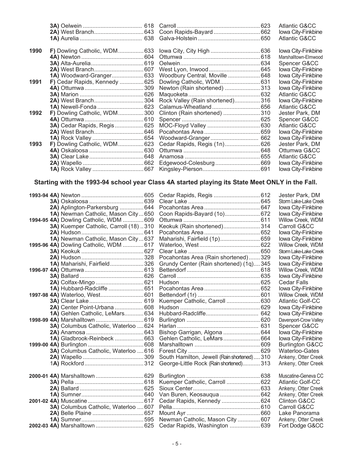|      |                                     |                                                     | <b>Atlantic G&amp;CC</b> |
|------|-------------------------------------|-----------------------------------------------------|--------------------------|
|      |                                     |                                                     | Iowa City-Finkbine       |
|      |                                     |                                                     | <b>Atlantic G&amp;CC</b> |
|      |                                     |                                                     |                          |
| 1990 |                                     | F) Dowling Catholic, WDM633 lowa City, City High636 | Iowa City-Finkbine       |
|      |                                     |                                                     | Marshalltown-Elmwood     |
|      |                                     |                                                     | Spencer G&CC             |
|      |                                     |                                                     | Iowa City-Finkbine       |
|      | <b>1A)</b> Woodward-Granger 633     | Woodbury Central, Moville  648                      | Iowa City-Finkbine       |
| 1991 | F) Cedar Rapids, Kennedy  625       |                                                     | Iowa City-Finkbine       |
|      |                                     | Newton (Rain shortened) 313                         | Iowa City-Finkbine       |
|      |                                     |                                                     | Atlantic G&CC            |
|      |                                     | Rock Valley (Rain shortened)316                     | Iowa City-Finkbine       |
|      |                                     |                                                     | Atlantic G&CC            |
| 1992 | <b>F)</b> Dowling Catholic, WDM300  | Clinton (Rain shortened)  310                       | Jester Park, DM          |
|      |                                     |                                                     | Spencer G&CC             |
|      | 3A) Cedar Rapids, Regis  625        |                                                     | Atlantic G&CC            |
|      |                                     |                                                     | Iowa City-Finkbine       |
|      |                                     |                                                     | Iowa City-Finkbine       |
| 1993 | <b>F)</b> Dowling Catholic, WDM 623 |                                                     | Jester Park, DM          |
|      |                                     |                                                     | Ottumwa G&CC             |
|      |                                     |                                                     | Atlantic G&CC            |
|      |                                     |                                                     | Iowa City-Finkbine       |
|      |                                     |                                                     | Iowa City-Finkbine       |

# **Starting with the 1993-94 school year Class 4A started playing its State Meet ONLY in the Fall.**

|                                        |                                             | Jester Park, DM            |
|----------------------------------------|---------------------------------------------|----------------------------|
|                                        |                                             | Storm Lake-Lake Creek      |
| 2A) Aplington-Parkersburg  644         |                                             | Iowa City-Finkbine         |
| 1A) Newman Catholic, Mason City 650    | Coon Rapids-Bayard (10) 672                 | Iowa City-Finkbine         |
| 1994-95 4A) Dowling Catholic, WDM  609 |                                             | Willow Creek, WDM          |
| 3A) Kuemper Catholic, Carroll (18) 310 | Keokuk (Rain shortened) 314                 | Carroll G&CC               |
|                                        |                                             | Iowa City-Finkbine         |
| 1A) Newman Catholic, Mason City637     | Maharishi, Fairfield (1p) 659               | Iowa City-Finkbine         |
| 1995-96 4A) Dowling Catholic, WDM  617 |                                             | Willow Creek, WDM          |
|                                        |                                             | Storm Lake-Lake Creek      |
|                                        | Pocahontas Area (Rain shortened) 329        | Iowa City-Finkbine         |
| 1A) Maharishi, Fairfield 326           | Grundy Center (Rain shortened) (1q)345      | Iowa City-Finkbine         |
|                                        |                                             | Willow Creek, WDM          |
|                                        |                                             | Iowa City-Finkbine         |
|                                        |                                             | <b>Cedar Falls</b>         |
| 1A) Hubbard-Radcliffe  651             |                                             | Iowa City-Finkbine         |
|                                        |                                             | Willow Creek, WDM          |
|                                        | Kuemper Catholic, Carroll  630              | <b>Atlantic Golf-CC</b>    |
| 2A) Center Point-Urbana  608           |                                             | Iowa City-Finkbine         |
| 1A) Gehlen Catholic, LeMars 634        |                                             | Iowa City-Finkbine         |
|                                        |                                             | Davenport-Crow Valley      |
| 3A) Columbus Catholic, Waterloo  624   |                                             | Spencer G&CC               |
|                                        | Bishop Garrigan, Algona  644                | Iowa City-Finkbine         |
| 1A) Gladbrook-Reinbeck  663            | Gehlen Catholic, LeMars 664                 | Iowa City-Finkbine         |
|                                        |                                             | <b>Burlington G&amp;CC</b> |
| 3A) Columbus Catholic, Waterloo  616   |                                             | Waterloo-Gates             |
|                                        | South Hamilton, Jewell (Rain shortened) 310 | Ankeny, Otter Creek        |
|                                        | George-Little Rock (Rain shortened) 313     | Ankeny, Otter Creek        |
|                                        |                                             | Muscatine-Geneva CC        |
|                                        | Kuemper Catholic, Carroll  622              | <b>Atlantic Golf-CC</b>    |
|                                        |                                             | Ankeny, Otter Creek        |
|                                        | Van Buren, Keosauqua  642                   | Ankeny, Otter Creek        |
|                                        | Cedar Rapids, Kennedy  624                  | <b>Clinton G&amp;CC</b>    |
| 3A) Columbus Catholic, Waterloo  607   |                                             | Carroll G&CC               |
|                                        |                                             | Lake Panorama              |
|                                        | Newman Catholic, Mason City  607            | Ankeny, Otter Creek        |
|                                        | Cedar Rapids, Washington  639               | Fort Dodge G&CC            |
|                                        |                                             |                            |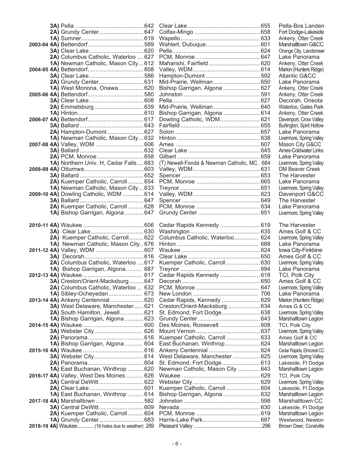|                                                                        |                                                             | Pella-Bos Landen                       |
|------------------------------------------------------------------------|-------------------------------------------------------------|----------------------------------------|
|                                                                        |                                                             | Fort Dodge-Lakeside                    |
|                                                                        |                                                             | Ankeny, Otter Creek                    |
|                                                                        |                                                             | Marshalltown G&CC                      |
|                                                                        |                                                             | Orange City, Landsmeer                 |
| 2A) Columbus Catholic, Waterloo  627                                   |                                                             | Lake Panorama                          |
| 1A) Newman Catholic, Mason City 612                                    |                                                             | Ankeny, Otter Creek                    |
|                                                                        |                                                             | Marion (Hunters Ridge)                 |
|                                                                        |                                                             | <b>Atlantic G&amp;CC</b>               |
|                                                                        | Mid-Prairie, Wellman  650                                   | Lake Panorama                          |
| 1A) West Monona, Onawa 620                                             | Bishop Garrigan, Algona  627                                | Ankeny, Otter Creek                    |
|                                                                        |                                                             | Ankeny, Otter Creek<br>Decorah, Oneota |
|                                                                        | Mid-Prairie, Wellman  640                                   | Waterloo, Gates Park                   |
|                                                                        | Bishop Garrigan, Algona  614                                | Ankeny, Otter Creek                    |
|                                                                        | Dowling Catholic, WDM 621                                   | Davenport, Crow Valley                 |
|                                                                        |                                                             | Burlington, Spirit Hollow              |
| 2A) Hampton-Dumont 627                                                 |                                                             | Lake Panorama                          |
| 1A) Newman Catholic, Mason City 632                                    |                                                             | Livermore, Spring Valley               |
|                                                                        |                                                             | Mason City G&CC                        |
|                                                                        |                                                             | <b>Ames-Coldwater Links</b>            |
|                                                                        |                                                             | Lake Panorama                          |
| 1A) Northern Univ. H, Cedar Falls683                                   | (T) Newell-Fonda & Newman Catholic, MC. 684                 | Livermore, Spring Valley               |
|                                                                        |                                                             | DM Beaver Creek                        |
|                                                                        |                                                             | The Harvester                          |
| 2A) Kuemper Catholic, Carroll 654                                      |                                                             | Lake Panorama                          |
| 1A) Newman Catholic, Mason City633                                     |                                                             | Livermore, Spring Valley               |
| 2009-10 4A) Dowling Catholic, WDM  614                                 |                                                             | Davenport G&CC                         |
| 2A) Kuemper Catholic, Carroll 628                                      |                                                             | The Harvester<br>Lake Panorama         |
| 1A) Bishop Garrigan, Algona647                                         |                                                             | Livermore, Spring Valley               |
|                                                                        |                                                             |                                        |
|                                                                        | Cedar Rapids Kennedy  619                                   | The Harvester                          |
|                                                                        |                                                             | Ames Golf & CC                         |
| 2A) Kuemper Catholic, Carroll 622                                      | Columbus Catholic, Waterloo 624                             | Livermore, Spring Valley               |
| 1A) Newman Catholic, Mason City676                                     |                                                             | Lake Panorama                          |
|                                                                        |                                                             | Iowa City-Finkbine                     |
|                                                                        |                                                             | Ames Golf & CC                         |
| 2A) Columbus Catholic, Waterloo  617                                   | Kuemper Catholic, Carroll  630                              | Livermore, Spring Valley               |
| 1A) Bishop Garrigan, Algona 687                                        |                                                             | Lake Panorama                          |
|                                                                        | Cedar Rapids Kennedy  618                                   | TCI, Polk City                         |
|                                                                        |                                                             | Ames Golf & CC                         |
| 2A) Columbus Catholic, Waterloo  632                                   |                                                             | Livermore, Spring Valley               |
| 1A) Sibley-Ocheyedan 673                                               |                                                             | Lake Panorama                          |
| 2013-14 4A) Ankeny Centennial 620<br>3A) West Delaware, Manchester 621 | Cedar Rapids, Kennedy  629<br>Creston/Orient-Macksburg  634 | Marion (Hunters Ridge)<br>Ames G & CC  |
| 2A) South Hamilton, Jewell 621                                         | St. Edmond, Fort Dodge 638                                  | Livermore, Spring Valley               |
| 1A) Bishop Garrigan, Algona 623                                        |                                                             | Marshalltown Legion                    |
|                                                                        | Des Moines, Roosevelt  608                                  | TCI, Polk City                         |
|                                                                        |                                                             | Livermore, Spring Valley               |
|                                                                        | Kuemper Catholic, Carroll  633                              | Ames Golf & CC                         |
| 1A) Bishop Garrigan, Algona 604                                        | East Buchanan, Winthrop 624                                 | Marshalltown Legion                    |
|                                                                        |                                                             | Cedar Rapids, Elmcrest CC              |
|                                                                        | West Delaware, Manchester  625                              | Livermore, Spring Valley               |
|                                                                        |                                                             | Lakeside, Ft Dodge                     |
| 1A) East Buchanan, Winthrop  620                                       | Newman Catholic, Mason City  643                            | Marshalltown Legion                    |
| 2016-17 4A) Valley, West Des Moines  626                               |                                                             | TCI, Polk City                         |
|                                                                        |                                                             | Livermore, Spring Valley               |
|                                                                        | Kuemper Catholic, Carroll  604                              | Lakeside, Ft Dodge                     |
| 1A) East Buchanan, Winthrop  614                                       | Bishop Garrigan, Algona  632                                | Marshalltown Legion                    |
| 2017-18 4A) Marshalltown  582                                          |                                                             | Marshalltown CC                        |
| 3A) Central DeWitt 609                                                 |                                                             | Lakeside, Ft Dodge                     |
| 2A) Kuemper Catholic, Carroll 604                                      |                                                             | Marshalltown Legion                    |
|                                                                        |                                                             | Westwood, Newton                       |
| 2018-19 4A) Waukee (18 holes due to weather) 289                       |                                                             | Brown Deer, Coralville                 |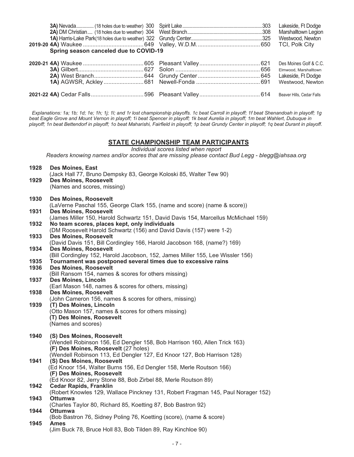|                                        |  | Marshalltown Legion   |
|----------------------------------------|--|-----------------------|
|                                        |  | Westwood, Newton      |
|                                        |  |                       |
| Spring season canceled due to COVID-19 |  |                       |
|                                        |  |                       |
|                                        |  | Elmwood, Marshalltown |
|                                        |  | Lakeside, Ft Dodge    |
|                                        |  | Westwood, Newton      |
|                                        |  |                       |

 *Explanations: 1a; 1b; 1d; 1e; 1h; 1j; 1l; and 1r lost championship playoffs. 1c beat Carroll in playoff; 1f beat Shenandoah in playoff; 1g beat Eagle Grove and Mount Vernon in playoff; 1i beat Spencer in playoff; 1k beat Aurelia in playoff; 1m beat Wahlert, Dubuque in playoff; 1n beat Bettendorf in playoff; 1o beat Maharishi, Fairfield in playoff; 1p beat Grundy Center in playoff; 1q beat Durant in playoff.*

#### **STATE CHAMPIONSHIP TEAM PARTICIPANTS**

*Individual scores listed when report*

*Readers knowing names and/or scores that are missing please contact Bud Legg - blegg@iahsaa.org*

| 1928 | <b>Des Moines, East</b><br>(Jack Hall 77, Bruno Dempsky 83, George Koloski 85, Walter Tew 90)                                      |
|------|------------------------------------------------------------------------------------------------------------------------------------|
| 1929 | Des Moines, Roosevelt                                                                                                              |
|      | (Names and scores, missing)                                                                                                        |
| 1930 | <b>Des Moines, Roosevelt</b>                                                                                                       |
|      | (LaVerne Paschal 155, George Clark 155, (name and score) (name & score))                                                           |
| 1931 | <b>Des Moines, Roosevelt</b>                                                                                                       |
| 1932 | (James Miller 150, Harold Schwartz 151, David Davis 154, Marcellus McMichael 159)<br>No team scores, places kept, only individuals |
|      | (DM Roosevelt Harold Schwartz (156) and David Davis (157) were 1-2)                                                                |
| 1933 | <b>Des Moines, Roosevelt</b>                                                                                                       |
|      | (David Davis 151, Bill Cordingley 166, Harold Jacobson 168, (name?) 169)                                                           |
| 1934 | <b>Des Moines, Roosevelt</b>                                                                                                       |
|      | (Bill Cordingley 152, Harold Jacobson, 152, James Miller 155, Lee Wissler 156)                                                     |
| 1935 | Tournament was postponed several times due to excessive rains                                                                      |
| 1936 | <b>Des Moines, Roosevelt</b>                                                                                                       |
| 1937 | (Bill Ransom 154, names & scores for others missing)<br>Des Moines, Lincoln                                                        |
|      | (Earl Mason 148, names & scores for others, missing)                                                                               |
| 1938 | <b>Des Moines, Roosevelt</b>                                                                                                       |
|      | (John Cameron 156, names & scores for others, missing)                                                                             |
| 1939 | (T) Des Moines, Lincoln                                                                                                            |
|      | (Otto Mason 157, names & scores for others missing)                                                                                |
|      | (T) Des Moines, Roosevelt                                                                                                          |
|      | (Names and scores)                                                                                                                 |
| 1940 | (S) Des Moines, Roosevelt                                                                                                          |
|      | (Wendell Robinson 156, Ed Dengler 158, Bob Harrison 160, Allen Trick 163)                                                          |
|      | (F) Des Moines, Roosevelt (27 holes)                                                                                               |
|      | (Wendell Robinson 113, Ed Dengler 127, Ed Knoor 127, Bob Harrison 128)                                                             |
| 1941 | (S) Des Moines, Roosevelt<br>(Ed Knoor 154, Walter Burns 156, Ed Dengler 158, Merle Routson 166)                                   |
|      | (F) Des Moines, Roosevelt                                                                                                          |
|      | (Ed Knoor 82, Jerry Stone 88, Bob Zirbel 88, Merle Routson 89)                                                                     |
| 1942 | <b>Cedar Rapids, Franklin</b>                                                                                                      |
|      | (Robert Knowles 129, Wallace Pinckney 131, Robert Fragman 145, Paul Norager 152)                                                   |
| 1943 | <b>Ottumwa</b>                                                                                                                     |
|      | (Charles Taylor 80, Richard 85, Koetting 87, Bob Bastron 92)                                                                       |
| 1944 | <b>Ottumwa</b><br>(Bob Bastron 76, Sidney Poling 76, Koetting (score), (name & score)                                              |
| 1945 | <b>Ames</b>                                                                                                                        |
|      | (Jim Buck 78, Bruce Holl 83, Bob Tilden 89, Ray Kinchloe 90)                                                                       |
|      |                                                                                                                                    |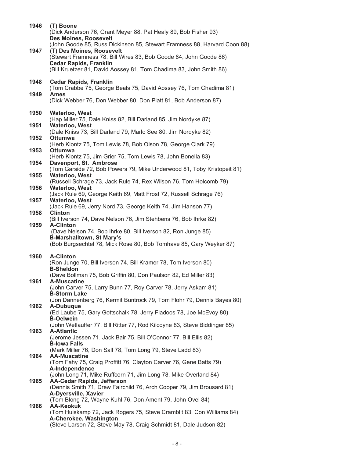| 1946 | (T) Boone<br>(Dick Anderson 76, Grant Meyer 88, Pat Healy 89, Bob Fisher 93)<br><b>Des Moines, Roosevelt</b> |
|------|--------------------------------------------------------------------------------------------------------------|
| 1947 | (John Goode 85, Russ Dickinson 85, Stewart Framness 88, Harvard Coon 88)<br>(T) Des Moines, Roosevelt        |
|      | (Stewart Framness 78, Bill Wires 83, Bob Goode 84, John Goode 86)                                            |
|      | <b>Cedar Rapids, Franklin</b><br>(Bill Kruetzer 81, David Aossey 81, Tom Chadima 83, John Smith 86)          |
| 1948 | <b>Cedar Rapids, Franklin</b>                                                                                |
| 1949 | (Tom Crabbe 75, George Beals 75, David Aossey 76, Tom Chadima 81)<br><b>Ames</b>                             |
|      | (Dick Webber 76, Don Webber 80, Don Platt 81, Bob Anderson 87)                                               |
| 1950 | <b>Waterloo, West</b>                                                                                        |
| 1951 | (Hap Miller 75, Dale Kniss 82, Bill Darland 85, Jim Nordyke 87)<br><b>Waterloo, West</b>                     |
|      | (Dale Kniss 73, Bill Darland 79, Marlo See 80, Jim Nordyke 82)                                               |
| 1952 | Ottumwa<br>(Herb Klontz 75, Tom Lewis 78, Bob Olson 78, George Clark 79)                                     |
| 1953 | <b>Ottumwa</b><br>(Herb Klontz 75, Jim Grier 75, Tom Lewis 78, John Bonella 83)                              |
| 1954 | Davenport, St. Ambrose<br>(Tom Garside 72, Bob Powers 79, Mike Underwood 81, Toby Kristopeit 81)             |
| 1955 | <b>Waterloo, West</b>                                                                                        |
| 1956 | (Russell Schrage 73, Jack Rule 74, Rex Wilson 76, Tom Holcomb 79)<br><b>Waterloo, West</b>                   |
|      | (Jack Rule 69, George Keith 69, Matt Frost 72, Russell Schrage 76)                                           |
| 1957 | <b>Waterloo, West</b><br>(Jack Rule 69, Jerry Nord 73, George Keith 74, Jim Hanson 77)                       |
| 1958 | <b>Clinton</b><br>(Bill Iverson 74, Dave Nelson 76, Jim Stehbens 76, Bob Ihrke 82)                           |
| 1959 | <b>A-Clinton</b>                                                                                             |
|      | (Dave Nelson 74, Bob Ihrke 80, Bill Iverson 82, Ron Junge 85)<br><b>B-Marshalltown, St Mary's</b>            |
|      | (Bob Burgsechtel 78, Mick Rose 80, Bob Tomhave 85, Gary Weyker 87)                                           |
| 1960 | <b>A-Clinton</b><br>(Ron Junge 70, Bill Iverson 74, Bill Kramer 78, Tom Iverson 80)                          |
|      | <b>B-Sheldon</b>                                                                                             |
| 1961 | (Dave Bollman 75, Bob Griffin 80, Don Paulson 82, Ed Miller 83)<br><b>A-Muscatine</b>                        |
|      | (John Carver 75, Larry Bunn 77, Roy Carver 78, Jerry Askam 81)<br><b>B-Storm Lake</b>                        |
|      | (Jon Dannenberg 76, Kermit Buntrock 79, Tom Flohr 79, Dennis Bayes 80)                                       |
| 1962 | A-Dubuque<br>(Ed Laube 75, Gary Gottschalk 78, Jerry Fladoos 78, Joe McEvoy 80)                              |
|      | <b>B-Oelwein</b>                                                                                             |
| 1963 | (John Wetlauffer 77, Bill Ritter 77, Rod Kilcoyne 83, Steve Biddinger 85)<br><b>A-Atlantic</b>               |
|      | (Jerome Jessen 71, Jack Bair 75, Bill O'Connor 77, Bill Ellis 82)<br><b>B-lowa Falls</b>                     |
|      | (Mark Miller 76, Don Sall 78, Tom Long 79, Steve Ladd 83)                                                    |
| 1964 | <b>AA-Muscatine</b><br>(Tom Fahy 75, Craig Proffitt 76, Clayton Carver 76, Gene Batts 79)                    |
|      | A-Independence<br>(John Long 71, Mike Ruffcorn 71, Jim Long 78, Mike Overland 84)                            |
| 1965 | <b>AA-Cedar Rapids, Jefferson</b>                                                                            |
|      | (Dennis Smith 71, Drew Fairchild 76, Arch Cooper 79, Jim Brousard 81)<br>A-Dyersville, Xavier                |
| 1966 | (Tom Blong 72, Wayne Kuhl 76, Don Ament 79, John Ovel 84)<br><b>AA-Keokuk</b>                                |
|      | (Tom Huiskamp 72, Jack Rogers 75, Steve Cramblit 83, Con Williams 84)                                        |
|      | A-Cherokee, Washington<br>(Steve Larson 72, Steve May 78, Craig Schmidt 81, Dale Judson 82)                  |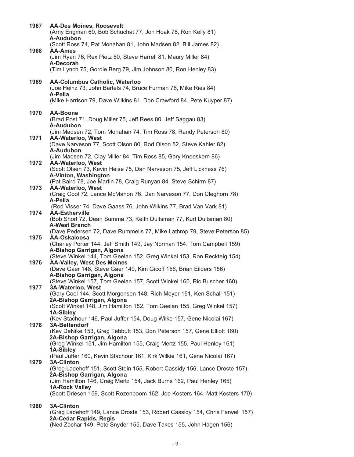| 1967 | <b>AA-Des Moines, Roosevelt</b><br>(Arny Engman 69, Bob Schuchat 77, Jon Hoak 78, Ron Kelly 81)<br>A-Audubon       |
|------|--------------------------------------------------------------------------------------------------------------------|
|      | (Scott Ross 74, Pat Monahan 81, John Madsen 82, Bill James 82)                                                     |
| 1968 | <b>AA-Ames</b><br>(Jim Ryan 76, Rex Pietz 80, Steve Harrell 81, Maury Miller 84)<br>A-Decorah                      |
|      | (Tim Lynch 75, Gordie Berg 79, Jim Johnson 80, Ron Henley 83)                                                      |
| 1969 | <b>AA-Columbus Catholic, Waterloo</b><br>(Joe Heinz 73, John Bartels 74, Bruce Furman 78, Mike Ries 84)<br>A-Pella |
|      | (Mike Harrison 79, Dave Wilkins 81, Don Crawford 84, Pete Kuyper 87)                                               |
| 1970 | <b>AA-Boone</b><br>(Brad Post 71, Doug Miller 75, Jeff Rees 80, Jeff Saggau 83)<br>A-Audubon                       |
|      | (Jim Madsen 72, Tom Monahan 74, Tim Ross 78, Randy Peterson 80)                                                    |
| 1971 | <b>AA-Waterloo, West</b><br>(Dave Narveson 77, Scott Olson 80, Rod Olson 82, Steve Kahler 82)                      |
|      | A-Audubon<br>(Jim Madsen 72, Clay Miller 84, Tim Ross 85, Gary Kneeskern 86)                                       |
| 1972 | AA-Waterloo, West<br>(Scott Olsen 73, Kevin Heise 75, Dan Narveson 75, Jeff Lickness 76)                           |
|      | A-Vinton, Washington<br>(Pat Baird 78, Joe Martin 78, Craig Runyan 84, Steve Schirm 87)                            |
| 1973 | <b>AA-Waterloo, West</b>                                                                                           |
|      | (Craig Cool 72, Lance McMahon 76, Dan Narveson 77, Don Cleghorn 78)<br>A-Pella                                     |
| 1974 | (Rod Visser 74, Dave Gaass 76, John Wilkins 77, Brad Van Vark 81)<br><b>AA-Estherville</b>                         |
|      | (Bob Short 72, Dean Summa 73, Keith Duitsman 77, Kurt Duitsman 80)<br><b>A-West Branch</b>                         |
| 1975 | (Dave Pedersen 72, Dave Rummells 77, Mike Lathrop 79, Steve Peterson 85)<br>AA-Oskaloosa                           |
|      | (Charley Porter 144, Jeff Smith 149, Jay Norman 154, Tom Campbell 159)                                             |
|      | A-Bishop Garrigan, Algona<br>(Steve Winkel 144, Tom Geelan 152, Greg Winkel 153, Ron Reckteig 154)                 |
| 1976 | <b>AA-Valley, West Des Moines</b><br>(Dave Gaer 148, Steve Gaer 149, Kim Gicoff 156, Brian Eilders 156)            |
|      | A-Bishop Garrigan, Algona<br>(Steve Winkel 157, Tom Geelan 157, Scott Winkel 160, Ric Buscher 160)                 |
| 1977 | 3A-Waterloo, West                                                                                                  |
|      | (Gary Cool 144, Scott Morgensen 148, Rich Meyer 151, Ken Schall 151)<br>2A-Bishop Garrigan, Algona                 |
|      | (Scott Winkel 148, Jim Hamilton 152, Tom Geelan 155, Greg Winkel 157)<br>1A-Sibley                                 |
| 1978 | (Kev Stachour 146, Paul Juffer 154, Doug Wilke 157, Gene Nicolai 167)<br>3A-Bettendorf                             |
|      | (Kev DeNike 153, Greg Tebbutt 153, Don Peterson 157, Gene Elliott 160)<br>2A-Bishop Garrigan, Algona               |
|      | (Greg Winkel 151, Jim Hamilton 155, Craig Mertz 155, Paul Henley 161)                                              |
|      | 1A-Sibley<br>(Paul Juffer 160, Kevin Stachour 161, Kirk Wilkie 161, Gene Nicolai 167)                              |
| 1979 | <b>3A-Clinton</b><br>(Greg Ladehoff 151, Scott Stein 155, Robert Cassidy 156, Lance Droste 157)                    |
|      | 2A-Bishop Garrigan, Algona<br>(Jim Hamilton 146, Craig Mertz 154, Jack Burns 162, Paul Henley 165)                 |
|      | <b>1A-Rock Valley</b>                                                                                              |
|      | (Scott Driesen 159, Scott Rozenboom 162, Joe Kosters 164, Matt Kosters 170)                                        |
| 1980 | <b>3A-Clinton</b><br>(Greg Ladehoff 149, Lance Droste 153, Robert Cassidy 154, Chris Farwell 157)                  |
|      | 2A-Cedar Rapids, Regis                                                                                             |

(Ned Zachar 149, Pete Snyder 155, Dave Takes 155, John Hagen 156)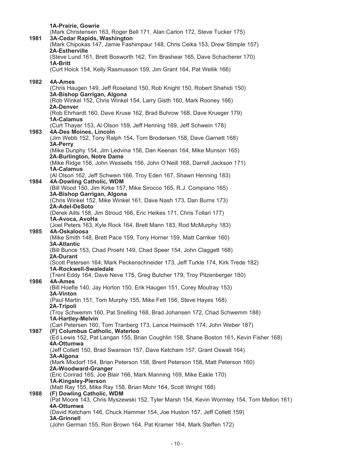|      | 1A-Prairie, Gowrie                                                                                                        |
|------|---------------------------------------------------------------------------------------------------------------------------|
| 1981 | (Mark Christensen 163, Roger Bell 171, Alan Carlon 172, Steve Tucker 175)<br>3A-Cedar Rapids, Washington                  |
|      | (Mark Chipokas 147, Jamie Fashimpaur 148, Chris Ceika 153, Drew Stimple 157)<br>2A-Estherville                            |
|      | (Steve Lund 161, Brett Bosworth 162, Tim Brashear 165, Dave Schacherer 170)<br>1A-Britt                                   |
|      | (Curt Hoick 154, Kelly Rasmusson 159, Jim Grant 164, Pat Wellik 166)                                                      |
| 1982 | 4A-Ames                                                                                                                   |
|      | (Chris Haugen 149, Jeff Roseland 150, Rob Knight 150, Robert Shahidi 150)<br>3A-Bishop Garrigan, Algona                   |
|      | (Rob Winkel 152, Chris Winkel 154, Larry Gisth 160, Mark Rooney 166)<br>2A-Denver                                         |
|      | (Rob Ehrhardt 160, Dave Kruse 162, Brad Buhrow 168, Dave Krueger 179)<br>1A-Calamus                                       |
| 1983 | (Curt Thayer 153, Al Olson 159, Jeff Henning 169, Jeff Schwein 178)<br>4A-Des Moines, Lincoln                             |
|      | (Jim Webb 152, Tony Ralph 154, Tom Brodersen 158, Dave Garnett 168)                                                       |
|      | 3A-Perry<br>(Mike Dunphy 154, Jim Ledvina 156, Dan Keenan 164, Mike Munson 165)<br>2A-Burlington, Notre Dame              |
|      | (Mike Ridge 156, John Wessells 156, John O'Neill 168, Darrell Jackson 171)                                                |
|      | <b>1A-Calamus</b><br>(Al Olson 162, Jeff Schwein 166, Troy Eden 167, Shawn Henning 183)                                   |
| 1984 | 4A-Dowling Catholic, WDM<br>(Bill Wood 150, Jim Kirke 157, Mike Sirocco 165, R.J. Compiano 165)                           |
|      | 3A-Bishop Garrigan, Algona<br>(Chris Winkel 152, Mike Winkel 161, Dave Nash 173, Dan Burns 173)                           |
|      | 2A-Adel-DeSoto<br>(Derek Ailts 158, Jim Stroud 166, Eric Heikes 171, Chris Tollari 177)                                   |
|      | 1A-Avoca, AvoHa                                                                                                           |
| 1985 | (Joel Peters 163, Kyle Rock 164, Brett Mann 183, Rod McMurphy 183)<br>4A-Oskaloosa                                        |
|      | (Mike Smith 148, Brett Pace 159, Tony Horner 159, Matt Carriker 160)<br><b>3A-Atlantic</b>                                |
|      | (Bill Bunce 153, Chad Proehl 149, Chad Speer 154, John Claggett 168)<br>2A-Durant                                         |
|      | (Scott Petersen 164, Mark Peckenschneider 173, Jeff Turkle 174, Kirk Trede 182)<br>1A-Rockwell-Swaledale                  |
|      | (Trent Eddy 164, Dave Neve 175, Greg Butcher 179, Troy Pitzenberger 180)                                                  |
| 1986 | 4A-Ames<br>(Bill Hoefle 140, Jay Horton 150, Erik Haugen 151, Corey Moutray 153)                                          |
|      | <b>3A-Vinton</b><br>(Paul Martin 151, Tom Murphy 155, Mike Fett 156, Steve Hayes 168)                                     |
|      | 2A-Tripoli<br>(Troy Schwemm 160, Pat Snelling 168, Brad Johansen 172, Chad Schwemm 188)                                   |
|      | <b>1A-Hartley-Melvin</b><br>(Carl Petersen 160, Tom Tranberg 173, Lance Heimsoth 174, John Weber 187)                     |
| 1987 | (F) Columbus Catholic, Waterloo<br>(Ed Lewis 152, Pat Langan 155, Brian Coughlin 158, Shane Boston 161, Kevin Fisher 168) |
|      | 4A-Ottumwa<br>(Jeff Collett 150, Brad Swanson 157, Dave Ketcham 157, Grant Oswalt 164)                                    |
|      | 3A-Algona                                                                                                                 |
|      | (Mark Mixdorf 154, Brian Peterson 158, Brent Peterson 158, Matt Peterson 160)<br>2A-Woodward-Granger                      |
|      | (Eric Conrad 165, Joe Blair 166, Mark Manning 169, Mike Eakle 170)<br>1A-Kingsley-Pierson                                 |
| 1988 | (Matt Ray 155, Mike Ray 158, Brian Mohr 164, Scott Wright 168)<br>(F) Dowling Catholic, WDM                               |
|      | (Pat Moore 143, Chris Myszewski 152, Tyler Marsh 154, Kevin Wormley 154, Tom Mellon 161)<br>4A-Ottumwa                    |
|      | (David Ketcham 146, Chuck Hammer 154, Joe Huston 157, Jeff Collett 159)<br><b>3A-Grinnell</b>                             |
|      | (John German 155, Ron Brown 164, Pat Kramer 164, Mark Steffen 172)                                                        |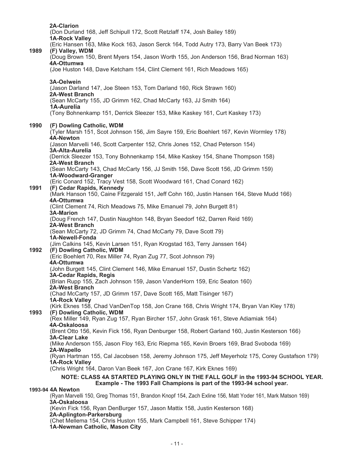**2A-Clarion** (Don Durland 168, Jeff Schipull 172, Scott Retzlaff 174, Josh Bailey 189) **1A-Rock Valley** (Eric Hansen 163, Mike Kock 163, Jason Serck 164, Todd Autry 173, Barry Van Beek 173) **1989 (F) Valley, WDM** (Doug Brown 150, Brent Myers 154, Jason Worth 155, Jon Anderson 156, Brad Norman 163) **4A-Ottumwa** (Joe Huston 148, Dave Ketcham 154, Clint Clement 161, Rich Meadows 165) **3A-Oelwein** (Jason Darland 147, Joe Steen 153, Tom Darland 160, Rick Strawn 160) **2A-West Branch** (Sean McCarty 155, JD Grimm 162, Chad McCarty 163, JJ Smith 164) **1A-Aurelia** (Tony Bohnenkamp 151, Derrick Sleezer 153, Mike Kaskey 161, Curt Kaskey 173) **1990 (F) Dowling Catholic, WDM** (Tyler Marsh 151, Scot Johnson 156, Jim Sayre 159, Eric Boehlert 167, Kevin Wormley 178) **4A-Newton** (Jason Marvelli 146, Scott Carpenter 152, Chris Jones 152, Chad Peterson 154) **3A-Alta-Aurelia** (Derrick Sleezer 153, Tony Bohnenkamp 154, Mike Kaskey 154, Shane Thompson 158) **2A-West Branch** (Sean McCarty 143, Chad McCarty 156, JJ Smith 156, Dave Scott 156, JD Grimm 159) **1A-Woodward-Granger** (Eric Conard 152, Tracy Vest 158, Scott Woodward 161, Chad Conard 162) **1991 (F) Cedar Rapids, Kennedy** (Mark Hanson 150, Caine Fitzgerald 151, Jeff Cohn 160, Justin Hansen 164, Steve Mudd 166) **4A-Ottumwa** (Clint Clement 74, Rich Meadows 75, Mike Emanuel 79, John Burgett 81) **3A-Marion** (Doug French 147, Dustin Naughton 148, Bryan Seedorf 162, Darren Reid 169) **2A-West Branch** (Sean McCarty 72, JD Grimm 74, Chad McCarty 79, Dave Scott 79) **1A-Newell-Fonda** (Jim Calkins 145, Kevin Larsen 151, Ryan Krogstad 163, Terry Janssen 164) **1992 (F) Dowling Catholic, WDM** (Eric Boehlert 70, Rex Miller 74, Ryan Zug 77, Scot Johnson 79) **4A-Ottumwa** (John Burgett 145, Clint Clement 146, Mike Emanuel 157, Dustin Schertz 162) **3A-Cedar Rapids, Regis** (Brian Rupp 155, Zach Johnson 159, Jason VanderHorn 159, Eric Seaton 160) **2A-West Branch** (Chad McCarty 157, JD Grimm 157, Dave Scott 165, Matt Tisinger 167) **1A-Rock Valley** (Kirk Eknes 158, Chad VanDenTop 158, Jon Crane 168, Chris Wright 174, Bryan Van Kley 178) **1993 (F) Dowling Catholic, WDM** (Rex Miller 149, Ryan Zug 157, Ryan Bircher 157, John Grask 161, Steve Adiamiak 164) **4A-Oskaloosa** (Brent Otto 156, Kevin Fick 156, Ryan Denburger 158, Robert Garland 160, Justin Kesterson 166) **3A-Clear Lake** (Mike Anderson 155, Jason Floy 163, Eric Riepma 165, Kevin Broers 169, Brad Svoboda 169) **2A-Wapello** (Ryan Hartman 155, Cal Jacobsen 158, Jeremy Johnson 175, Jeff Meyerholz 175, Corey Gustafson 179) **1A-Rock Valley** (Chris Wright 164, Daron Van Beek 167, Jon Crane 167, Kirk Eknes 169) **NOTE: CLASS 4A STARTED PLAYING ONLY IN THE FALL GOLF in the 1993-94 SCHOOL YEAR. Example - The 1993 Fall Champions is part of the 1993-94 school year. 1993-94 4A Newton** (Ryan Marvelli 150, Greg Thomas 151, Brandon Knopf 154, Zach Exline 156, Matt Yoder 161, Mark Matson 169) **3A-Oskaloosa** (Kevin Fick 156, Ryan DenBurger 157, Jason Mattix 158, Justin Kesterson 168) **2A-Aplington-Parkersburg**

(Chet Mellema 154, Chris Huston 155, Mark Campbell 161, Steve Schipper 174) **1A-Newman Catholic, Mason City**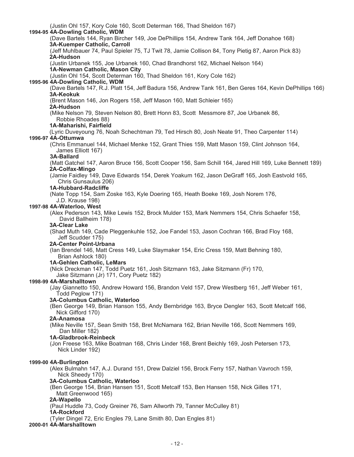(Justin Ohl 157, Kory Cole 160, Scott Determan 166, Thad Sheldon 167) **1994-95 4A-Dowling Catholic, WDM** (Dave Bartels 144, Ryan Bircher 149, Joe DePhillips 154, Andrew Tank 164, Jeff Donahoe 168) **3A-Kuemper Catholic, Carroll** (Jeff Muhlbauer 74, Paul Spieler 75, TJ Twit 78, Jamie Collison 84, Tony Pietig 87, Aaron Pick 83) **2A-Hudson** (Justin Urbanek 155, Joe Urbanek 160, Chad Brandhorst 162, Michael Nelson 164) **1A-Newman Catholic, Mason City** (Justin Ohl 154, Scott Determan 160, Thad Sheldon 161, Kory Cole 162) **1995-96 4A-Dowling Catholic, WDM** (Dave Bartels 147, R.J. Platt 154, Jeff Badura 156, Andrew Tank 161, Ben Geres 164, Kevin DePhillips 166) **3A-Keokuk** (Brent Mason 146, Jon Rogers 158, Jeff Mason 160, Matt Schleier 165) **2A-Hudson** (Mike Nelson 79, Steven Nelson 80, Brett Honn 83, Scott Messmore 87, Joe Urbanek 86, Robbie Rhoades 88) **1A-Maharishi, Fairfield** (Lyric Duveyoung 76, Noah Schechtman 79, Ted Hirsch 80, Josh Neate 91, Theo Carpenter 114) **1996-97 4A-Ottumwa** (Chris Emmanuel 144, Michael Menke 152, Grant Thies 159, Matt Mason 159, Clint Johnson 164, James Elliott 167) **3A-Ballard** (Matt Gatchel 147, Aaron Bruce 156, Scott Cooper 156, Sam Schill 164, Jared Hill 169, Luke Bennett 189) **2A-Colfax-Mingo** (Jamie Faidley 149, Dave Edwards 154, Derek Yoakum 162, Jason DeGraff 165, Josh Eastvold 165, Chris Gunsaulus 206) **1A-Hubbard-Radcliffe** (Nate Topp 154, Sam Zoske 163, Kyle Doering 165, Heath Boeke 169, Josh Norem 176, J.D. Krause 198) **1997-98 4A-Waterloo, West** (Alex Pederson 143, Mike Lewis 152, Brock Mulder 153, Mark Nemmers 154, Chris Schaefer 158, David Ballheim 178) **3A-Clear Lake** (Shad Muth 149, Cade Pleggenkuhle 152, Joe Fandel 153, Jason Cochran 166, Brad Floy 168, Jeff Scudder 175) **2A-Center Point-Urbana** (Ian Brendel 146, Matt Cress 149, Luke Slaymaker 154, Eric Cress 159, Matt Behning 180, Brian Ashlock 180) **1A-Gehlen Catholic, LeMars** (Nick Dreckman 147, Todd Puetz 161, Josh Sitzmann 163, Jake Sitzmann (Fr) 170, Jake Sitzmann (Jr) 171, Cory Puetz 182) **1998-99 4A-Marshalltown** (Jay Giannetto 150, Andrew Howard 156, Brandon Veld 157, Drew Westberg 161, Jeff Weber 161, Todd Peglow 171) **3A-Columbus Catholic, Waterloo** (Ben George 149, Brian Hanson 155, Andy Bernbridge 163, Bryce Dengler 163, Scott Metcalf 166, Nick Gifford 170) **2A-Anamosa** (Mike Neville 157, Sean Smith 158, Bret McNamara 162, Brian Neville 166, Scott Nemmers 169, Dan Miller 182) **1A-Gladbrook-Reinbeck** (Jon Freese 163, Mike Boatman 168, Chris Linder 168, Brent Beichly 169, Josh Petersen 173, Nick Linder 192) **1999-00 4A-Burlington** (Alex Bulmahn 147, A.J. Durand 151, Drew Dalziel 156, Brock Ferry 157, Nathan Vavroch 159, Nick Sheedy 170) **3A-Columbus Catholic, Waterloo** (Ben George 154, Brian Hansen 151, Scott Metcalf 153, Ben Hansen 158, Nick Gilles 171, Matt Greenwood 165) **2A-Wapello** (Paul Huddle 73, Cody Greiner 76, Sam Allworth 79, Tanner McCulley 81) **1A-Rockford** (Tyler Dingel 72, Eric Engles 79, Lane Smith 80, Dan Engles 81)

#### **2000-01 4A-Marshalltown**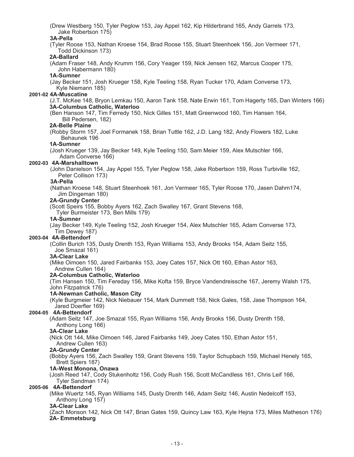Jake Robertson 175) **3A-Pella** (Tyler Roose 153, Nathan Kroese 154, Brad Roose 155, Stuart Steenhoek 156, Jon Vermeer 171, Todd Dickinson 173) **2A-Ballard** (Adam Fraser 148, Andy Krumm 156, Cory Yeager 159, Nick Jensen 162, Marcus Cooper 175, John Habermann 180) **1A-Sumner** (Jay Becker 151, Josh Krueger 158, Kyle Teeling 158, Ryan Tucker 170, Adam Converse 173, Kyle Niemann 185) **2001-02 4A-Muscatine** (J.T. McKee 148, Bryon Lemkau 150, Aaron Tank 158, Nate Erwin 161, Tom Hagerty 165, Dan Winters 166) **3A-Columbus Catholic, Waterloo** (Ben Hanson 147, Tim Ferredy 150, Nick Gilles 151, Matt Greenwood 160, Tim Hansen 164, Bill Pedersen, 182) **2A-Belle Plaine** (Robby Storm 157, Joel Formanek 158, Brian Tuttle 162, J.D. Lang 182, Andy Flowers 182, Luke Behaunek 196 **1A-Sumner** (Josh Krueger 139, Jay Becker 149, Kyle Teeling 150, Sam Meier 159, Alex Mutschler 166, Adam Converse 166) **2002-03 4A-Marshalltown** (John Danielson 154, Jay Appel 155, Tyler Peglow 158, Jake Robertson 159, Ross Turbiville 162, Peter Collison 173) **3A-Pella** (Nathan Kroese 148, Stuart Steenhoek 161, Jon Vermeer 165, Tyler Roose 170, Jasen Dahm174, Jim Dingeman 180) **2A-Grundy Center** (Scott Speirs 155, Bobby Ayers 162, Zach Swalley 167, Grant Stevens 168, Tyler Burmeister 173, Ben Mills 179) **1A-Sumner** (Jay Becker 149, Kyle Teeling 152, Josh Krueger 154, Alex Mutschler 165, Adam Converse 173, Tim Dewey 187) **2003-04 4A-Bettendorf** (Collin Burich 135, Dusty Drenth 153, Ryan Williams 153, Andy Brooks 154, Adam Seitz 155, Joe Smazal 161) **3A-Clear Lake** (Mike Oimoen 150, Jared Fairbanks 153, Joey Cates 157, Nick Ott 160, Ethan Astor 163, Andrew Cullen 164) **2A-Columbus Catholic, Waterloo** (Tim Hansen 150, Tim Fereday 156, Mike Kofta 159, Bryce Vandendreissche 167, Jeremy Walsh 175, John Fitzpatrick 176) **1A-Newman Catholic, Mason City** (Kyle Burgmeier 142, Nick Niebauer 154, Mark Dummett 158, Nick Gales, 158, Jase Thompson 164, Jared Doerfler 169) **2004-05 4A-Bettendorf** (Adam Seitz 147, Joe Smazal 155, Ryan Williams 156, Andy Brooks 156, Dusty Drenth 158, Anthony Long 166) **3A-Clear Lake** (Nick Ott 144, Mike Oimoen 146, Jared Fairbanks 149, Joey Cates 150, Ethan Astor 151, Andrew Cullen 163) **2A-Grundy Center** (Bobby Ayers 156, Zach Swalley 159, Grant Stevens 159, Taylor Schupbach 159, Michael Henely 165, Brett Spiers 187) **1A-West Monona, Onawa** (Josh Reed 147, Cody Stukenholtz 156, Cody Rush 156, Scott McCandless 161, Chris Leif 166, Tyler Sandman 174) **2005-06 4A-Bettendorf** (Mike Wuertz 145, Ryan Williams 145, Dusty Drenth 146, Adam Seitz 146, Austin Nedelcoff 153, Anthony Long 157) **3A-Clear Lake** (Zach Monson 142, Nick Ott 147, Brian Gates 159, Quincy Law 163, Kyle Hejna 173, Miles Matheson 176) **2A- Emmetsburg**

(Drew Westberg 150, Tyler Peglow 153, Jay Appel 162, Kip Hilderbrand 165, Andy Garrels 173,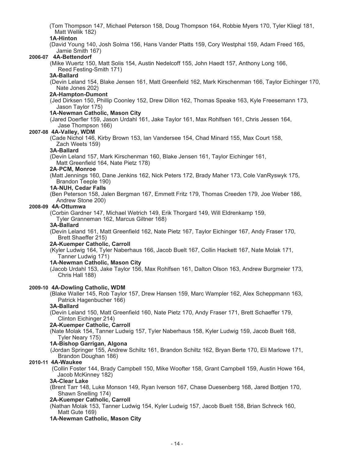(Tom Thompson 147, Michael Peterson 158, Doug Thompson 164, Robbie Myers 170, Tyler Kliegl 181, Matt Wellik 182)

#### **1A-Hinton**

(David Young 140, Josh Solma 156, Hans Vander Platts 159, Cory Westphal 159, Adam Freed 165, Jamie Smith 167)

#### **2006-07 4A-Bettendorf**

(Mike Wuertz 150, Matt Solis 154, Austin Nedelcoff 155, John Haedt 157, Anthony Long 166, Reed Festing-Smith 171)

#### **3A-Ballard**

(Devin Leland 154, Blake Jensen 161, Matt Greenfield 162, Mark Kirschenman 166, Taylor Eichinger 170, Nate Jones 202)

#### **2A-Hampton-Dumont**

(Jed Dirksen 150, Phillip Coonley 152, Drew Dillon 162, Thomas Speake 163, Kyle Freesemann 173, Jason Taylor 175)

#### **1A-Newman Catholic, Mason City**

(Jared Doerfler 159, Jason Urdahl 161, Jake Taylor 161, Max Rohlfsen 161, Chris Jessen 164, Jase Thompson 166)

#### **2007-08 4A-Valley, WDM**

(Cade Nichol 146, Kirby Brown 153, Ian Vandersee 154, Chad Minard 155, Max Court 158, Zach Weets 159)

#### **3A-Ballard**

(Devin Leland 157, Mark Kirschenman 160, Blake Jensen 161, Taylor Eichinger 161, Matt Greenfield 164, Nate Pietz 178)

#### **2A**-**PCM, Monroe**

(Matt Jennings 160, Dane Jenkins 162, Nick Peters 172, Brady Maher 173, Cole VanRyswyk 175, Brandon Teeple 190)

#### **1A**-**NUH, Cedar Falls**

(Ben Peterson 158, Jalen Bergman 167, Emmett Fritz 179, Thomas Creeden 179, Joe Weber 186, Andrew Stone 200)

#### **2008-09 4A**-**Ottumwa**

(Corbin Gardner 147, Michael Wetrich 149, Erik Thorgard 149, Will Eldrenkamp 159,

Tyler Granneman 162, Marcus Giltner 168)

#### **3A-Ballard**

(Devin Leland 161, Matt Greenfield 162, Nate Pietz 167, Taylor Eichinger 167, Andy Fraser 170, Brett Shaeffer 215)

#### **2A-Kuemper Catholic, Carroll**

 (Kyler Ludwig 164, Tyler Naberhaus 166, Jacob Buelt 167, Collin Hackett 167, Nate Molak 171, Tanner Ludwig 171)

#### **1A-Newman Catholic, Mason City**

(Jacob Urdahl 153, Jake Taylor 156, Max Rohlfsen 161, Dalton Olson 163, Andrew Burgmeier 173, Chris Hall 188)

#### **2009-10 4A-Dowling Catholic, WDM**

(Blake Waller 145, Rob Taylor 157, Drew Hansen 159, Marc Wampler 162, Alex Scheppmann 163, Patrick Hagenbucher 166)

#### **3A-Ballard**

(Devin Leland 150, Matt Greenfield 160, Nate Pietz 170, Andy Fraser 171, Brett Schaeffer 179, Clinton Eichinger 214)

#### **2A-Kuemper Catholic, Carroll**

(Nate Molak 154, Tanner Ludwig 157, Tyler Naberhaus 158, Kyler Ludwig 159, Jacob Buelt 168, Tyler Neary 175)

#### **1A-Bishop Garrigan, Algona**

 (Jordan Springer 155, Andrew Schiltz 161, Brandon Schiltz 162, Bryan Berte 170, Eli Marlowe 171, Brandon Doughan 186)

#### **2010-11 4A-Waukee**

(Collin Foster 144, Brady Campbell 150, Mike Woofter 158, Grant Campbell 159, Austin Howe 164, Jacob McKinney 182)

#### **3A-Clear Lake**

(Brent Tarr 148, Luke Monson 149, Ryan Iverson 167, Chase Duesenberg 168, Jared Bottjen 170, Shawn Snelling 174)

#### **2A-Kuemper Catholic, Carroll**

(Nathan Molak 153, Tanner Ludwig 154, Kyler Ludwig 157, Jacob Buelt 158, Brian Schreck 160, Matt Gute 169)

#### **1A-Newman Catholic, Mason City**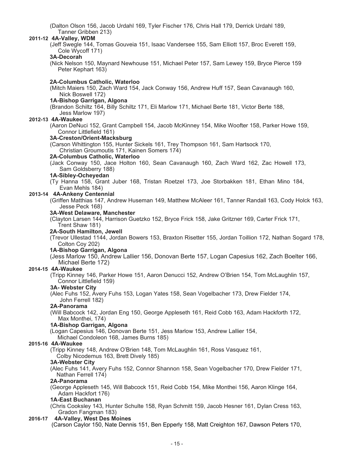(Dalton Olson 156, Jacob Urdahl 169, Tyler Fischer 176, Chris Hall 179, Derrick Urdahl 189, Tanner Gribben 213)

#### **2011-12 4A-Valley, WDM**

(Jeff Swegle 144, Tomas Gouveia 151, Isaac Vandersee 155, Sam Elliott 157, Broc Everett 159, Cole Wycoff 171)

#### **3A-Decorah**

(Nick Nelson 150, Maynard Newhouse 151, Michael Peter 157, Sam Lewey 159, Bryce Pierce 159 Peter Kephart 163)

#### **2A-Columbus Catholic, Waterloo**

(Mitch Maiers 150, Zach Ward 154, Jack Conway 156, Andrew Huff 157, Sean Cavanaugh 160, Nick Boswell 172)

#### **1A-Bishop Garrigan, Algona**

(Brandon Schiltz 164, Billy Schiltz 171, Eli Marlow 171, Michael Berte 181, Victor Berte 188, Jess Marlow 197)

#### **2012-13 4A-Waukee**

(Aaron DeNuci 152, Grant Campbell 154, Jacob McKinney 154, Mike Woofter 158, Parker Howe 159, Connor Littlefield 161)

#### **3A-Creston/Orient-Macksburg**

(Carson Whittington 155, Hunter Sickels 161, Trey Thompson 161, Sam Hartsock 170, Christian Groumoutis 171, Kainen Somers 174)

#### **2A-Columbus Catholic, Waterloo**

(Jack Conway 150, Jace Holton 160, Sean Cavanaugh 160, Zach Ward 162, Zac Howell 173, Sam Goldsberry 188)

#### **1A-Sibley-Ocheyedan**

(Ty Hanna 158, Grant Juber 168, Tristan Roetzel 173, Joe Storbakken 181, Ethan Mino 184, Evan Mehls 184)

#### **2013-14 4A-Ankeny Centennial**

(Griffen Matthias 147, Andrew Huseman 149, Matthew McAleer 161, Tanner Randall 163, Cody Holck 163, Jesse Peck 168)

#### **3A-West Delaware, Manchester**

(Clayton Larsen 144, Harrison Guetzko 152, Bryce Frick 158, Jake Gritzner 169, Carter Frick 171, Trent Shaw 181)

#### **2A-South Hamilton, Jewell**

(Trevor Ullestad 1144, Jordan Bowers 153, Braxton Risetter 155, Jordan Toillion 172, Nathan Sogard 178, Colton Coy 202)

#### **1A-Bishop Garrigan, Algona**

(Jess Marlow 150, Andrew Lallier 156, Donovan Berte 157, Logan Capesius 162, Zach Boelter 166, Michael Berte 172)

#### **2014-15 4A-Waukee**

(Tripp Kinney 146, Parker Howe 151, Aaron Denucci 152, Andrew O'Brien 154, Tom McLaughlin 157, Connor Littlefield 159)

#### **3A- Webster City**

(Alec Fuhs 152, Avery Fuhs 153, Logan Yates 158, Sean Vogelbacher 173, Drew Fielder 174, John Ferrell 182)

#### **2A-Panorama**

(Will Babcock 142, Jordan Eng 150, George Appleseth 161, Reid Cobb 163, Adam Hackforth 172, Max Monthei, 174)

#### **1A-Bishop Garrigan, Algona**

(Logan Capesius 146, Donovan Berte 151, Jess Marlow 153, Andrew Lallier 154,

Michael Condoleon 168, James Burns 185)

#### **2015-16 4A-Waukee**

(Tripp Kinney 148, Andrew O'Brien 148, Tom McLaughlin 161, Ross Vasquez 161, Colby Nicodemus 163, Brett Dively 185)

#### **3A-Webster City**

(Alec Fuhs 141, Avery Fuhs 152, Connor Shannon 158, Sean Vogelbacher 170, Drew Fielder 171, Nathan Ferrell 174)

#### **2A-Panorama**

(George Appleseth 145, Will Babcock 151, Reid Cobb 154, Mike Monthei 156, Aaron Klinge 164, Adam Hackfort 176)

#### **1A-East Buchanan**

(Chris Cooksley 143, Hunter Schulte 158, Ryan Schmitt 159, Jacob Hesner 161, Dylan Cress 163, Gradon Fangman 183)

#### **2016-17 4A-Valley, West Des Moines**

(Carson Caylor 150, Nate Dennis 151, Ben Epperly 158, Matt Creighton 167, Dawson Peters 170,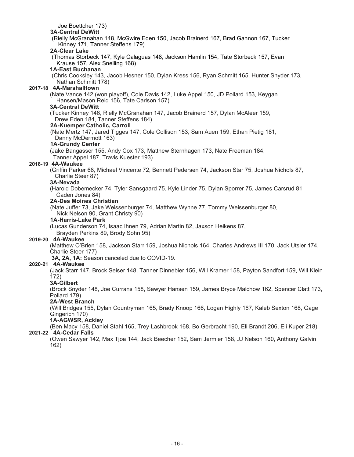Joe Boettcher 173)

#### **3A-Central DeWitt**

(Rielly McGranahan 148, McGwire Eden 150, Jacob Brainerd 167, Brad Gannon 167, Tucker Kinney 171, Tanner Steffens 179)

#### **2A-Clear Lake**

(Thomas Storbeck 147, Kyle Calaguas 148, Jackson Hamlin 154, Tate Storbeck 157, Evan Krause 157, Alex Snelling 168)

#### **1A-East Buchanan**

(Chris Cooksley 143, Jacob Hesner 150, Dylan Kress 156, Ryan Schmitt 165, Hunter Snyder 173, Nathan Schmitt 178)

#### **2017-18 4A-Marshalltown**

(Nate Vance 142 (won playoff), Cole Davis 142, Luke Appel 150, JD Pollard 153, Keygan Hansen/Mason Reid 156, Tate Carlson 157)

#### **3A-Central DeWitt**

(Tucker Kinney 146, Rielly McGranahan 147, Jacob Brainerd 157, Dylan McAleer 159, Drew Eden 184, Tanner Steffens 184)

#### **2A-Kuemper Catholic, Carroll**

(Nate Mertz 147, Jared Tigges 147, Cole Collison 153, Sam Auen 159, Ethan Pietig 181, Danny McDermott 163)

#### **1A-Grundy Center**

(Jake Bangasser 155, Andy Cox 173, Matthew Sternhagen 173, Nate Freeman 184, Tanner Appel 187, Travis Kuester 193)

#### **2018-19 4A-Waukee**

(Griffin Parker 68, Michael Vincente 72, Bennett Pedersen 74, Jackson Star 75, Joshua Nichols 87, Charlie Steer 87)

#### **3A-Nevada**

(Harold Dobemecker 74, Tyler Sansgaard 75, Kyle Linder 75, Dylan Sporrer 75, James Carsrud 81 Caden Jones 84)

#### **2A-Des Moines Christian**

(Nate Juffer 73, Jake Weissenburger 74, Matthew Wynne 77, Tommy Weissenburger 80, Nick Nelson 90, Grant Christy 90)

#### **1A-Harris-Lake Park**

(Lucas Gunderson 74, Isaac Ihnen 79, Adrian Martin 82, Jaxson Heikens 87, Brayden Perkins 89, Brody Sohn 95)

#### **2019-20 4A-Waukee**

(Matthew O'Brien 158, Jackson Starr 159, Joshua Nichols 164, Charles Andrews III 170, Jack Utsler 174, Charlie Steer 177)

**3A, 2A, 1A:** Season canceled due to COVID-19.

#### **2020-21 4A-Waukee**

(Jack Starr 147, Brock Seiser 148, Tanner Dinnebier 156, Will Kramer 158, Payton Sandfort 159, Will Klein 172)

## **3A-Gilbert**

(Brock Snyder 148, Joe Currans 158, Sawyer Hansen 159, James Bryce Malchow 162, Spencer Clatt 173, Pollard 179)

#### **2A-West Branch**

(Will Bridges 155, Dylan Countryman 165, Brady Knoop 166, Logan Highly 167, Kaleb Sexton 168, Gage Gingerich 170)

#### **1A-AGWSR, Ackley**

(Ben Macy 158, Daniel Stahl 165, Trey Lashbrook 168, Bo Gerbracht 190, Eli Brandt 206, Eli Kuper 218)

# **2021-22 4A-Cedar Falls**

(Owen Sawyer 142, Max Tjoa 144, Jack Beecher 152, Sam Jermier 158, JJ Nelson 160, Anthony Galvin 162)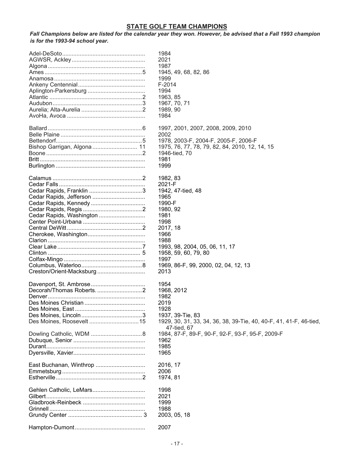# **STATE GOLF TEAM CHAMPIONS**

*Fall Champions below are listed for the calendar year they won. However, be advised that a Fall 1993 champion is for the 1993-94 school year.*

|                             | 1984<br>2021<br>1987<br>1945, 49, 68, 82, 86<br>1999                              |
|-----------------------------|-----------------------------------------------------------------------------------|
|                             | $F-2014$                                                                          |
|                             | 1994                                                                              |
|                             | 1963, 85                                                                          |
|                             | 1967, 70, 71                                                                      |
|                             | 1989, 90                                                                          |
|                             | 1984                                                                              |
|                             | 1997, 2001, 2007, 2008, 2009, 2010                                                |
|                             | 2002                                                                              |
|                             |                                                                                   |
| Bishop Garrigan, Algona  11 | 1978, 2003-F, 2004-F, 2005-F, 2006-F                                              |
|                             | 1975, 76, 77, 78, 79, 82, 84, 2010, 12, 14, 15                                    |
|                             | 1946-tied, 70                                                                     |
|                             | 1981                                                                              |
|                             | 1999                                                                              |
|                             | 1982, 83                                                                          |
|                             | 2021-F                                                                            |
|                             | 1942, 47-tied, 48                                                                 |
| Cedar Rapids, Jefferson     | 1965                                                                              |
|                             | 1990-F                                                                            |
|                             | 1980, 92                                                                          |
| Cedar Rapids, Washington    | 1981                                                                              |
|                             | 1998                                                                              |
|                             | 2017, 18                                                                          |
|                             | 1966                                                                              |
|                             | 1988                                                                              |
|                             | 1993, 98, 2004, 05, 06, 11, 17                                                    |
|                             | 1958, 59, 60, 79, 80                                                              |
|                             | 1997                                                                              |
|                             | 1969, 86-F, 99, 2000, 02, 04, 12, 13                                              |
|                             | 2013                                                                              |
|                             | 1954                                                                              |
|                             | 1968, 2012                                                                        |
|                             | 1982                                                                              |
|                             | 2019                                                                              |
|                             | 1928                                                                              |
|                             | 1937, 39-Tie, 83                                                                  |
|                             |                                                                                   |
|                             | 1929, 30, 31, 33, 34, 36, 38, 39-Tie, 40, 40-F, 41, 41-F, 46-tied,<br>47-tied, 67 |
|                             | 1984, 87-F, 89-F, 90-F, 92-F, 93-F, 95-F, 2009-F                                  |
|                             | 1962                                                                              |
|                             | 1985                                                                              |
|                             | 1965                                                                              |
| East Buchanan, Winthrop     | 2016, 17                                                                          |
|                             | 2006                                                                              |
|                             | 1974, 81                                                                          |
|                             | 1998                                                                              |
|                             | 2021                                                                              |
|                             | 1999                                                                              |
|                             | 1988                                                                              |
|                             | 2003, 05, 18                                                                      |
|                             |                                                                                   |
|                             | 2007                                                                              |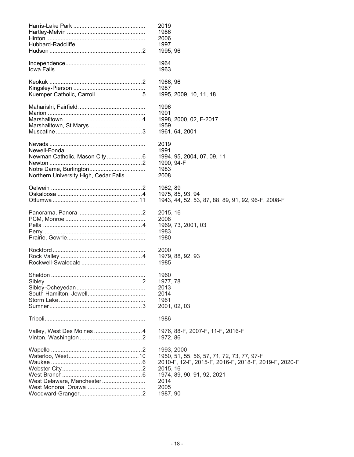|                                       | 2019                                                 |
|---------------------------------------|------------------------------------------------------|
|                                       | 1986                                                 |
|                                       | 2006                                                 |
|                                       | 1997                                                 |
|                                       | 1995, 96                                             |
|                                       |                                                      |
|                                       | 1964                                                 |
|                                       | 1963                                                 |
|                                       |                                                      |
|                                       |                                                      |
|                                       | 1966, 96                                             |
|                                       | 1987                                                 |
|                                       | 1995, 2009, 10, 11, 18                               |
|                                       |                                                      |
|                                       | 1996                                                 |
|                                       | 1991                                                 |
|                                       | 1998, 2000, 02, F-2017                               |
|                                       | 1959                                                 |
|                                       | 1961, 64, 2001                                       |
|                                       |                                                      |
|                                       | 2019                                                 |
|                                       | 1991                                                 |
|                                       | 1994, 95, 2004, 07, 09, 11                           |
|                                       | 1990, 94-F                                           |
|                                       | 1983                                                 |
| Northern University High, Cedar Falls | 2008                                                 |
|                                       |                                                      |
|                                       | 1962, 89                                             |
|                                       |                                                      |
|                                       | 1975, 85, 93, 94                                     |
|                                       | 1943, 44, 52, 53, 87, 88, 89, 91, 92, 96-F, 2008-F   |
|                                       |                                                      |
|                                       | 2015, 16                                             |
|                                       | 2008                                                 |
|                                       | 1969, 73, 2001, 03                                   |
|                                       | 1983                                                 |
|                                       | 1980                                                 |
|                                       |                                                      |
|                                       | 2000                                                 |
|                                       | 1979, 88, 92, 93                                     |
|                                       | 1985                                                 |
|                                       |                                                      |
|                                       | 1960                                                 |
|                                       | 1977, 78                                             |
|                                       | 2013                                                 |
|                                       | 2014                                                 |
|                                       |                                                      |
|                                       | 1961                                                 |
|                                       | 2001, 02, 03                                         |
|                                       |                                                      |
|                                       | 1986                                                 |
|                                       |                                                      |
| Valley, West Des Moines 4             | 1976, 88-F, 2007-F, 11-F, 2016-F                     |
|                                       | 1972, 86                                             |
|                                       |                                                      |
|                                       | 1993, 2000                                           |
|                                       | 1950, 51, 55, 56, 57, 71, 72, 73, 77, 97-F           |
|                                       | 2010-F, 12-F, 2015-F, 2016-F, 2018-F, 2019-F, 2020-F |
|                                       | 2015, 16                                             |
|                                       | 1974, 89, 90, 91, 92, 2021                           |
| West Delaware, Manchester             | 2014                                                 |
|                                       | 2005                                                 |
|                                       |                                                      |
|                                       | 1987, 90                                             |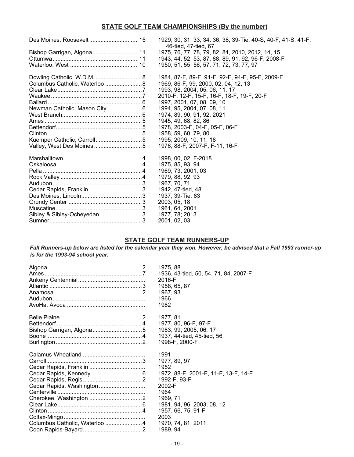# **STATE GOLF TEAM CHAMPIONSHIPS (By the number)**

|                                | 1929, 30, 31, 33, 34, 36, 38, 39-Tie, 40-S, 40-F, 41-S, 41-F,<br>46-tied, 47-tied, 67 |
|--------------------------------|---------------------------------------------------------------------------------------|
| Bishop Garrigan, Algona11      | 1975, 76, 77, 78, 79, 82, 84, 2010, 2012, 14, 15                                      |
|                                | 1943, 44, 52, 53, 87, 88, 89, 91, 92, 96-F, 2008-F                                    |
|                                | 1950, 51, 55, 56, 57, 71, 72, 73, 77, 97                                              |
|                                | 1984, 87-F, 89-F, 91-F, 92-F, 94-F, 95-F, 2009-F                                      |
| Columbus Catholic, Waterloo  8 | 1969, 86-F, 99, 2000, 02, 04, 12, 13                                                  |
|                                | 1993, 98, 2004, 05, 06, 11, 17                                                        |
|                                | 2010-F, 12-F, 15-F, 16-F, 18-F, 19-F, 20-F                                            |
|                                | 1997, 2001, 07, 08, 09, 10                                                            |
| Newman Catholic, Mason City6   | 1994, 95, 2004, 07, 08, 11                                                            |
|                                | 1974, 89, 90, 91, 92, 2021                                                            |
|                                | 1945, 49, 68, 82, 86                                                                  |
|                                | 1978, 2003-F, 04-F, 05-F, 06-F                                                        |
|                                | 1958, 59, 60, 79, 80                                                                  |
| Kuemper Catholic, Carroll5     | 1995, 2009, 10, 11, 18                                                                |
|                                | 1976, 88-F, 2007-F, F-11, 16-F                                                        |
|                                | 1998, 00, 02. F-2018                                                                  |
|                                | 1975, 85, 93, 94                                                                      |
|                                | 1969, 73, 2001, 03                                                                    |
|                                | 1979, 88, 92, 93                                                                      |
|                                | 1967, 70, 71                                                                          |
| Cedar Rapids, Franklin 3       | 1942, 47-tied, 48                                                                     |
|                                | 1937, 39-Tie, 83                                                                      |
|                                | 2003, 05, 18                                                                          |
|                                | 1961, 64, 2001                                                                        |
| Sibley & Sibley-Ocheyedan 3    | 1977, 78; 2013                                                                        |
|                                | 2001, 02, 03                                                                          |

# **STATE GOLF TEAM RUNNERS-UP**

*Fall Runners-up below are listed for the calendar year they won. However, be advised that a Fall 1993 runner-up is for the 1993-94 school year.*

|                               | 1975, 88                              |
|-------------------------------|---------------------------------------|
|                               | 1936, 43-tied, 50, 54, 71, 84, 2007-F |
|                               | 2016-F                                |
|                               | 1958, 65, 87                          |
|                               | 1967, 93                              |
|                               | 1966                                  |
|                               | 1982                                  |
|                               | 1977, 81                              |
|                               | 1977, 80, 96-F, 97-F                  |
|                               | 1983, 99, 2005, 06, 17                |
|                               | 1937, 44-tied, 45-tied, 56            |
|                               | 1998-F, 2000-F                        |
|                               | 1991                                  |
|                               | 1977, 89, 97                          |
|                               | 1952                                  |
|                               | 1972, 88-F, 2001-F, 11-F, 13-F, 14-F  |
|                               | 1992-F, 93-F                          |
| Cedar Rapids, Washington      | 2002-F                                |
|                               | 1964                                  |
|                               | 1969, 71                              |
|                               | 1981, 94, 96, 2003, 08, 12            |
|                               | 1957, 66, 75, 91-F                    |
|                               | 2003                                  |
| Columbus Catholic, Waterloo 4 | 1970, 74, 81, 2011                    |
|                               | 1989, 94                              |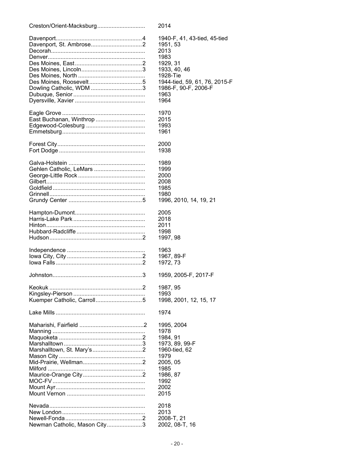| Creston/Orient-Macksburg     | 2014                          |
|------------------------------|-------------------------------|
|                              | 1940-F, 41, 43-tied, 45-tied  |
|                              | 1951, 53                      |
|                              | 2013                          |
|                              | 1983                          |
|                              | 1929, 31                      |
|                              | 1933, 40, 46                  |
|                              | 1928-Tie                      |
|                              | 1944-tied, 59, 61, 76, 2015-F |
|                              | 1986-F, 90-F, 2006-F          |
|                              | 1963                          |
|                              | 1964                          |
|                              | 1970                          |
| East Buchanan, Winthrop      | 2015                          |
|                              | 1993                          |
|                              | 1961                          |
|                              | 2000                          |
|                              | 1938                          |
|                              | 1989                          |
| Gehlen Catholic, LeMars      | 1999                          |
|                              | 2000                          |
|                              | 2008                          |
|                              | 1985                          |
|                              | 1980                          |
|                              | 1996, 2010, 14, 19, 21        |
|                              | 2005                          |
|                              | 2018                          |
|                              | 2011                          |
|                              | 1998                          |
|                              | 1997, 98                      |
|                              | 1963                          |
|                              | 1967, 89-F                    |
|                              | 1972, 73                      |
|                              | 1959, 2005-F, 2017-F          |
|                              | 1987, 95                      |
|                              | 1993                          |
|                              | 1998, 2001, 12, 15, 17        |
|                              | 1974                          |
|                              | 1995, 2004                    |
|                              | 1978                          |
|                              | 1984, 91                      |
|                              | 1973, 89, 99-F                |
|                              | 1960-tied, 62                 |
|                              | 1979                          |
|                              | 2005, 05                      |
|                              | 1985                          |
|                              | 1986, 87                      |
|                              | 1992                          |
|                              | 2002                          |
|                              | 2015                          |
|                              | 2018                          |
|                              | 2013                          |
|                              | 2008-T, 21                    |
| Newman Catholic, Mason City3 | 2002, 08-T, 16                |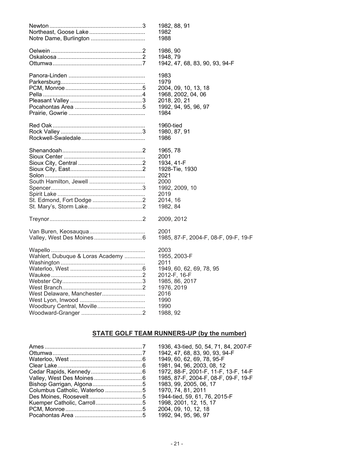|                                  | 1982, 88, 91                         |
|----------------------------------|--------------------------------------|
|                                  | 1982                                 |
| Notre Dame, Burlington           | 1988                                 |
|                                  | 1986, 90                             |
|                                  | 1948, 79                             |
|                                  | 1942, 47, 68, 83, 90, 93, 94-F       |
|                                  | 1983                                 |
|                                  | 1979                                 |
|                                  | 2004, 09, 10, 13, 18                 |
|                                  | 1968, 2002, 04, 06                   |
|                                  | 2018, 20, 21                         |
|                                  | 1992, 94, 95, 96, 97                 |
|                                  | 1984                                 |
|                                  | 1960-tied                            |
|                                  | 1980, 87, 91                         |
|                                  | 1986                                 |
|                                  | 1965, 78                             |
|                                  | 2001                                 |
|                                  | 1934, 41-F                           |
|                                  | 1928-Tie, 1930                       |
|                                  | 2021                                 |
|                                  | 2000                                 |
|                                  | 1992, 2009, 10                       |
|                                  | 2019                                 |
|                                  | 2014, 16                             |
|                                  | 1982, 84                             |
|                                  | 2009, 2012                           |
|                                  | 2001                                 |
|                                  | 1985, 87-F, 2004-F, 08-F, 09-F, 19-F |
|                                  | 2003                                 |
| Wahlert, Dubuque & Loras Academy | 1955, 2003-F                         |
|                                  | 2011                                 |
|                                  | 1949, 60, 62, 69, 78, 95             |
|                                  | 2012-F, 16-F                         |
|                                  | 1985, 86, 2017                       |
|                                  | 1976, 2019                           |
| West Delaware, Manchester        | 2016                                 |
|                                  | 1990                                 |
| Woodbury Central, Moville        | 1990                                 |
|                                  | 1988, 92                             |

# **STATE GOLF TEAM RUNNERS-UP (by the number)**

| 1936, 43-tied, 50, 54, 71, 84, 2007-F               |
|-----------------------------------------------------|
| 1942, 47, 68, 83, 90, 93, 94-F                      |
| 1949, 60, 62, 69, 78, 95-F                          |
| 1981, 94, 96, 2003, 08, 12                          |
| 1972, 88-F, 2001-F, 11-F, 13-F, 14-F                |
| 1985, 87-F, 2004-F, 08-F, 09-F, 19-F                |
| 1983, 99, 2005, 06, 17                              |
| 1970, 74, 81, 2011<br>Columbus Catholic, Waterloo 5 |
| 1944-tied, 59, 61, 76, 2015-F                       |
| 1998, 2001, 12, 15, 17                              |
| 2004, 09, 10, 12, 18                                |
| 1992, 94, 95, 96, 97                                |
|                                                     |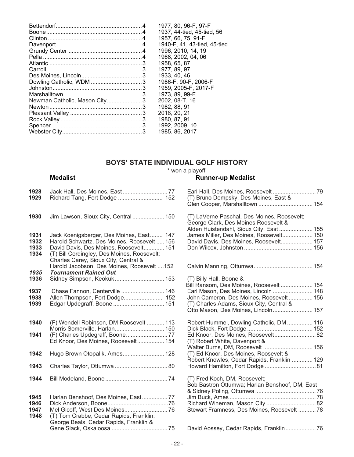|                              | 1977, 80, 96-F, 97-F         |
|------------------------------|------------------------------|
|                              | 1937, 44-tied, 45-tied, 56   |
|                              | 1957, 66, 75, 91-F           |
|                              | 1940-F, 41, 43-tied, 45-tied |
|                              | 1996, 2010, 14, 19           |
|                              | 1968, 2002, 04, 06           |
|                              | 1958, 65, 87                 |
|                              | 1977, 89, 97                 |
|                              | 1933, 40, 46                 |
|                              | 1986-F, 90-F, 2006-F         |
|                              | 1959, 2005-F, 2017-F         |
|                              | 1973, 89, 99-F               |
| Newman Catholic, Mason City3 | 2002, 08-T, 16               |
|                              | 1982, 88, 91                 |
|                              | 2018, 20, 21                 |
|                              | 1980, 87, 91                 |
|                              | 1992, 2009, 10               |
|                              | 1985, 86, 2017               |

# **BOYS' STATE INDIVIDUAL GOLF HISTORY**

**Medalist Example 20** The Medalist **Medalist** 

# **Runner-up Medalist**

| 1928<br>1929                 |                                                                                                                                                                                                                          | (T) Bruno Dempsky, Des Moines, East &                                                                                           |
|------------------------------|--------------------------------------------------------------------------------------------------------------------------------------------------------------------------------------------------------------------------|---------------------------------------------------------------------------------------------------------------------------------|
| 1930                         | Jim Lawson, Sioux City, Central  150                                                                                                                                                                                     | (T) LaVerne Paschal, Des Moines, Roosevelt;<br>George Clark, Des Moines Roosevelt &<br>Alden Huistendahl, Sioux City, East  155 |
| 1931<br>1932<br>1933<br>1934 | Jack Koenigsberger, Des Moines, East 147<br>Harold Schwartz, Des Moines, Roosevelt  156<br>David Davis, Des Moines, Roosevelt 151<br>(T) Bill Cordingley, Des Moines, Roosevelt;<br>Charles Carey, Sioux City, Central & | James Miller, Des Moines, Roosevelt 150<br>David Davis, Des Moines, Roosevelt 157                                               |
|                              | Harold Jacobson, Des Moines, Roosevelt 152                                                                                                                                                                               |                                                                                                                                 |
| 1935<br>1936                 | <b>Tournament Rained Out</b><br>Sidney Simpson, Keokuk 153                                                                                                                                                               | (T) Billy Hall, Boone &                                                                                                         |
|                              |                                                                                                                                                                                                                          | Bill Ransom, Des Moines, Roosevelt  154                                                                                         |
| 1937                         | Chase Fannon, Centerville  146                                                                                                                                                                                           | Earl Mason, Des Moines, Lincoln  148                                                                                            |
| 1938                         |                                                                                                                                                                                                                          | John Cameron, Des Moines, Roosevelt 156                                                                                         |
| 1939                         |                                                                                                                                                                                                                          | (T) Charles Adams, Sioux City, Central &<br>Otto Mason, Des Moines, Lincoln 157                                                 |
| 1940                         | (F) Wendell Robinson, DM Roosevelt  113                                                                                                                                                                                  | Robert Hummel, Dowling Catholic, DM  116                                                                                        |
| 1941                         | (F) Charles Updegraff, Boone77                                                                                                                                                                                           | Ed Knoor, Des Moines, Roosevelt 82                                                                                              |
|                              | Ed Knoor, Des Moines, Roosevelt 154                                                                                                                                                                                      | (T) Robert White, Davenport &                                                                                                   |
|                              |                                                                                                                                                                                                                          | Walter Burns, DM, Roosevelt  156                                                                                                |
| 1942                         | Hugo Brown Otopalik, Ames 128                                                                                                                                                                                            | (T) Ed Knoor, Des Moines, Roosevelt &<br>Robert Knowles, Cedar Rapids, Franklin  129                                            |
| 1943                         |                                                                                                                                                                                                                          |                                                                                                                                 |
|                              |                                                                                                                                                                                                                          |                                                                                                                                 |
| 1944                         |                                                                                                                                                                                                                          | (T) Fred Koch, DM, Roosevelt;                                                                                                   |
|                              |                                                                                                                                                                                                                          | Bob Bastron Ottumwa; Harlan Benshoof, DM, East                                                                                  |
| 1945                         | Harlan Benshoof, Des Moines, East77                                                                                                                                                                                      |                                                                                                                                 |
| 1946                         |                                                                                                                                                                                                                          | Richard Wineman, Mason City  82                                                                                                 |
| 1947<br>1948                 | (T) Tom Crabbe, Cedar Rapids, Franklin;<br>George Beals, Cedar Rapids, Franklin &                                                                                                                                        | Stewart Framness, Des Moines, Roosevelt  78                                                                                     |
|                              |                                                                                                                                                                                                                          | David Aossey, Cedar Rapids, Franklin 76                                                                                         |
|                              |                                                                                                                                                                                                                          |                                                                                                                                 |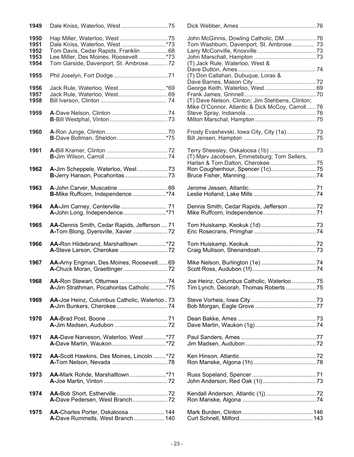| 1949 |                                              |                                                  |     |
|------|----------------------------------------------|--------------------------------------------------|-----|
| 1950 |                                              |                                                  |     |
| 1951 |                                              | Tom Washburn, Davenport, St. Ambrose 73          |     |
| 1952 | Tom Davis, Cedar Rapids, Franklin 68         |                                                  |     |
| 1953 | Lee Miller, Des Moines, Roosevelt*73         |                                                  |     |
| 1954 | Tom Garside, Davenport, St. Ambrose 72       | (T) Jack Rule, Waterloo, West &                  |     |
|      |                                              |                                                  |     |
| 1955 |                                              | (T) Don Callahan, Dubuque, Loras &               |     |
|      |                                              |                                                  |     |
| 1956 |                                              |                                                  |     |
| 1957 | Jack Rule, Waterloo, West 69                 |                                                  |     |
| 1958 |                                              | (T) Dave Nelson, Clinton; Jim Stehbens, Clinton; |     |
|      |                                              | Mike O'Connor, Atlantic & Dick McCoy, Carroll76  |     |
| 1959 |                                              |                                                  |     |
|      |                                              |                                                  |     |
|      |                                              |                                                  |     |
|      |                                              |                                                  |     |
| 1960 |                                              |                                                  |     |
|      |                                              |                                                  |     |
|      |                                              |                                                  |     |
| 1961 |                                              |                                                  |     |
|      |                                              | (T) Marv Jacobsen, Emmetsburg; Tom Sellers,      |     |
|      |                                              |                                                  |     |
| 1962 | A-Jim Scheppele, Waterloo, West 73           |                                                  |     |
|      |                                              |                                                  |     |
|      |                                              |                                                  |     |
| 1963 |                                              |                                                  |     |
|      | B-Mike Ruffcorn, Independence *74            |                                                  |     |
|      |                                              |                                                  |     |
| 1964 | AA-Jim Carney, Centerville  71               | Dennis Smith, Cedar Rapids, Jefferson  72        |     |
|      |                                              |                                                  |     |
|      |                                              |                                                  |     |
| 1965 | AA-Dennis Smith, Cedar Rapids, Jefferson  71 |                                                  |     |
|      |                                              |                                                  |     |
|      |                                              |                                                  |     |
|      |                                              |                                                  |     |
| 1966 | AA-Ron Hildebrand, Marshalltown *72          |                                                  |     |
|      |                                              |                                                  |     |
|      |                                              |                                                  |     |
| 1967 | AA-Arny Engman, Des Moines, Roosevelt 69     |                                                  |     |
|      |                                              |                                                  |     |
|      |                                              |                                                  |     |
| 1968 |                                              | Joe Heinz, Columbus Catholic, Waterloo  75       |     |
|      | A-Jim Strathman, Pocahontas Catholic*75      | Tim Lynch, Decorah, Thomas Roberts 75            |     |
|      |                                              |                                                  |     |
| 1969 | AA-Joe Heinz, Columbus Catholic, Waterloo73  |                                                  |     |
|      |                                              |                                                  |     |
|      |                                              |                                                  |     |
| 1970 |                                              |                                                  |     |
|      |                                              |                                                  |     |
|      |                                              |                                                  |     |
| 1971 | AA-Dave Narveson, Waterloo, West*77          |                                                  |     |
|      |                                              |                                                  |     |
|      |                                              |                                                  |     |
|      |                                              |                                                  |     |
| 1972 | AA-Scott Hawkins, Des Moines, Lincoln *72    |                                                  |     |
|      |                                              |                                                  |     |
|      |                                              |                                                  |     |
| 1973 | AA-Mark Rohde, Marshalltown*71               |                                                  |     |
|      |                                              |                                                  |     |
|      |                                              |                                                  |     |
| 1974 |                                              |                                                  |     |
|      |                                              |                                                  |     |
|      |                                              |                                                  |     |
| 1975 | AA-Charles Porter, Oskaloosa  144            |                                                  |     |
|      | <b>A-</b> Dave Rummells, West Branch<br>140  | Curt Schnell Milford <b>Current Schnell</b>      | 143 |

| Dale Kniss, Waterloo, West * 73              | Tom Washburn, Davenport, St. Ambrose 73          |  |
|----------------------------------------------|--------------------------------------------------|--|
|                                              |                                                  |  |
| Tom Davis, Cedar Rapids, Franklin68          |                                                  |  |
| Lee Miller, Des Moines, Roosevelt *73        |                                                  |  |
| Tom Garside, Davenport, St. Ambrose 72       | (T) Jack Rule, Waterloo, West &                  |  |
|                                              |                                                  |  |
|                                              | (T) Don Callahan, Dubuque, Loras &               |  |
|                                              |                                                  |  |
|                                              |                                                  |  |
| Jack Rule, Waterloo, West*69                 |                                                  |  |
| Jack Rule, Waterloo, West 69                 |                                                  |  |
|                                              | (T) Dave Nelson, Clinton; Jim Stehbens, Clinton; |  |
|                                              | Mike O'Connor, Atlantic & Dick McCoy, Carroll 76 |  |
|                                              |                                                  |  |
|                                              |                                                  |  |
|                                              |                                                  |  |
|                                              |                                                  |  |
|                                              | Frosty Evashevski, Iowa City, City (1a)  73      |  |
| B-Dave Bollman, Sheldon* 75                  |                                                  |  |
|                                              |                                                  |  |
|                                              |                                                  |  |
|                                              |                                                  |  |
|                                              | (T) Marv Jacobsen, Emmetsburg; Tom Sellers,      |  |
|                                              |                                                  |  |
|                                              |                                                  |  |
| <b>A-</b> Jim Scheppele, Waterloo, West73    |                                                  |  |
|                                              |                                                  |  |
|                                              |                                                  |  |
| A-John Carver, Muscatine  69                 |                                                  |  |
| B-Mike Ruffcorn, Independence *74            |                                                  |  |
|                                              |                                                  |  |
|                                              |                                                  |  |
| <b>AA-Jim Carney, Centerville  71</b>        | Dennis Smith, Cedar Rapids, Jefferson  72        |  |
|                                              |                                                  |  |
|                                              |                                                  |  |
| AA-Dennis Smith, Cedar Rapids, Jefferson  71 |                                                  |  |
|                                              |                                                  |  |
|                                              |                                                  |  |
|                                              |                                                  |  |
| AA-Ron Hildebrand, Marshalltown *72          |                                                  |  |
|                                              |                                                  |  |
|                                              |                                                  |  |
| AA-Arny Engman, Des Moines, Roosevelt 69     |                                                  |  |
|                                              |                                                  |  |
|                                              |                                                  |  |
|                                              |                                                  |  |
| AA-Ron Stewart, Ottumwa 74                   | Joe Heinz, Columbus Catholic, Waterloo  75       |  |
| A-Jim Strathman, Pocahontas Catholic*75      | Tim Lynch, Decorah, Thomas Roberts 75            |  |
|                                              |                                                  |  |
| AA-Joe Heinz, Columbus Catholic, Waterloo73  |                                                  |  |
|                                              |                                                  |  |
|                                              |                                                  |  |
|                                              |                                                  |  |
|                                              |                                                  |  |
|                                              |                                                  |  |
|                                              |                                                  |  |
| AA-Dave Narveson, Waterloo, West*77          |                                                  |  |
|                                              |                                                  |  |
|                                              |                                                  |  |
|                                              |                                                  |  |
| AA-Scott Hawkins, Des Moines, Lincoln *72    |                                                  |  |
|                                              |                                                  |  |
|                                              |                                                  |  |
|                                              |                                                  |  |
| AA-Mark Rohde, Marshalltown*71               |                                                  |  |
|                                              |                                                  |  |
|                                              |                                                  |  |
|                                              |                                                  |  |
| A-Dave Pedersen, West Branch72               |                                                  |  |
|                                              |                                                  |  |
|                                              |                                                  |  |
| AA-Charles Porter, Oskaloosa  144            |                                                  |  |
| A-Dave Rummells, West Branch  140            |                                                  |  |
|                                              |                                                  |  |
|                                              |                                                  |  |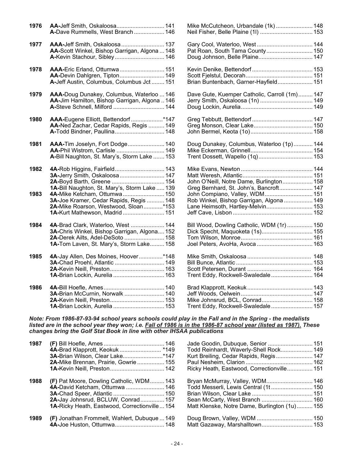| 1976 |                                               | Mike McCutcheon, Urbandale (1k) 148           |  |
|------|-----------------------------------------------|-----------------------------------------------|--|
|      | A-Dave Rummells, West Branch 146              | Neil Fisher, Belle Plaine (1l)  153           |  |
| 1977 | <b>AAA-Jeff Smith, Oskaloosa  137</b>         |                                               |  |
|      | AA-Scott Winkel, Bishop Garrigan, Algona  148 | Pat Roan, South Tama County 150               |  |
|      | A-Kevin Stachour, Sibley 146                  |                                               |  |
| 1978 | AAA-Eric Erland, Ottumwa 151                  |                                               |  |
|      | AA-Devin Dahlgren, Tipton 149                 |                                               |  |
|      | A-Jeff Austin, Columbus, Columbus Jct  151    | Brian Buntenbach, Garner-Hayfield 151         |  |
| 1979 | AAA-Doug Dunakey, Columbus, Waterloo  146     | Dave Gute, Kuemper Catholic, Carroll (1m) 147 |  |
|      | AA-Jim Hamilton, Bishop Garrigan, Algona  146 | Jerry Smith, Oskaloosa (1n)  149              |  |
|      | A-Steve Schnell, Milford  144                 |                                               |  |
| 1980 | AAA-Eugene Elliott, Bettendorf*147            |                                               |  |
|      | AA-Ned Zachar, Cedar Rapids, Regis  149       |                                               |  |
|      | A-Todd Bindner, Paullina 148                  |                                               |  |
| 1981 | AAA-Tim Joselyn, Fort Dodge 140               | Doug Dunakey, Columbus, Waterloo (1p) 144     |  |
|      | AA-Phil Wistrom, Carlisle  149                |                                               |  |
|      | A-Bill Naughton, St. Mary's, Storm Lake  153  | Trent Dossett, Wapello (1q) 153               |  |
| 1982 | 4A-Rob Higgins, Fairfield 143                 |                                               |  |
|      | 3A-Jerry Smith, Oskaloosa  147                |                                               |  |
|      |                                               | John O'Neill, Notre Dame, Burlington 158      |  |
|      | 1A-Bill Naughton, St. Mary's, Storm Lake  139 | Greg Bernhard, St. John's, Bancroft 147       |  |
| 1983 | 4A-Mike Ketcham, Ottumwa 150                  | John Compiano, Valley, WDM 151                |  |
|      | 3A-Joe Kramer, Cedar Rapids, Regis  148       | Rob Winkel, Bishop Garrigan, Algona  149      |  |
|      | 2A-Mike Roarson, Westwood, Sloan*153          | Lane Heimsoth, Hartley-Melvin 153             |  |
|      | 1A-Kurt Mathewson, Madrid 151                 |                                               |  |
| 1984 | 4A-Brad Clark, Waterloo, West  144            | Bill Wood, Dowling Catholic, WDM (1r)  150    |  |
|      | 3A-Chris Winkel, Bishop Garrigan, Algona 152  | Dick Specht, Maquoketa (1s) 155               |  |
|      | 2A-Derek Ailts, Adel-DeSoto  158              |                                               |  |
|      | 1A-Tom Laven, St. Mary's, Storm Lake 158      |                                               |  |
| 1985 | 4A-Jay Allen, Des Moines, Hoover*148          |                                               |  |
|      | 3A-Chad Proehl, Atlantic  149                 |                                               |  |
|      |                                               |                                               |  |
|      | 1A-Brian Lockin, Aurelia  163                 | Trent Eddy, Rockwell-Swaledale 164            |  |
| 1986 |                                               |                                               |  |
|      | 3A-Brian McCurnin, Norwalk  140               |                                               |  |
|      |                                               | Mike Johnsrud, BCL, Conrad 158                |  |
|      | 1A-Brian Lockin, Aurelia  153                 | Trent Eddy, Rockwell-Swaledale 157            |  |

*Note: From 1986-87-93-94 school years schools could play in the Fall and in the Spring - the medalists listed are in the school year they won; i.e. Fall of 1986 is in the 1986-87 school year (listed as 1987). These changes bring the Golf Stat Book in line with other IHSAA publications*

| 1987 |                                                      | Jade Goodin, Dubuque, Senior  151             |  |
|------|------------------------------------------------------|-----------------------------------------------|--|
|      |                                                      | Todd Reinhardt, Waverly-Shell Rock 149        |  |
|      |                                                      | Kurt Breiling, Cedar Rapids, Regis 147        |  |
|      | 2A-Mike Brennan, Prairie, Gowrie  155                |                                               |  |
|      |                                                      | Ricky Heath, Eastwood, Correctionville 151    |  |
| 1988 | <b>(F)</b> Pat Moore, Dowling Catholic, WDM 143      |                                               |  |
|      | 4A-David Ketcham, Ottumwa  146                       | Todd Messerli, Lewis Central (1t 150          |  |
|      |                                                      |                                               |  |
|      | 2A-Jay Johnsrud, BCLUW, Conrad 157                   |                                               |  |
|      | <b>1A-Ricky Heath, Eastwood, Correctionville 154</b> | Matt Klenske, Notre Dame, Burlington (1u) 155 |  |
| 1989 | (F) Jonathan Frommelt, Wahlert, Dubuque  149         |                                               |  |
|      |                                                      |                                               |  |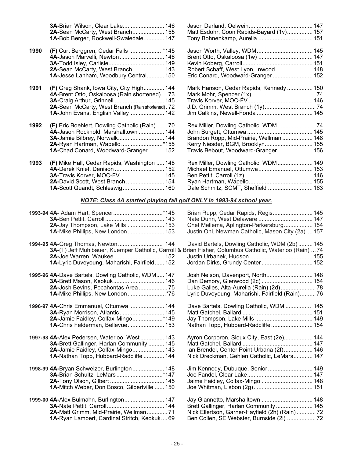|      | 3A-Brian Wilson, Clear Lake 146                    |                                                                                                         |  |
|------|----------------------------------------------------|---------------------------------------------------------------------------------------------------------|--|
|      | 2A-Sean McCarty, West Branch 155                   | Matt Esdohr, Coon Rapids-Bayard (1v) 157                                                                |  |
|      | 1A-Bob Berger, Rockwell-Swaledale 147              | Tony Bohnenkamp, Aurelia  151                                                                           |  |
| 1990 | (F) Curt Berggren, Cedar Falls  *145               | Jason Worth, Valley, WDM 145                                                                            |  |
|      | 4A-Jason Marvelli, Newton  146                     | Brent Otto, Oskaloosa (1w)  147                                                                         |  |
|      |                                                    |                                                                                                         |  |
|      | 2A-Sean McCarty, West Branch 143                   | Robert Schaff, West Lyon, Inwood  148                                                                   |  |
|      | 1A-Jesse Lanham, Woodbury Central 150              | Eric Conard, Woodward-Granger 152                                                                       |  |
| 1991 | (F) Greg Shank, Iowa City, City High 144           | Mark Hanson, Cedar Rapids, Kennedy  150                                                                 |  |
|      | 4A-Brent Otto, Oskaloosa (Rain shortened) 73       |                                                                                                         |  |
|      | 3A-Craig Arthur, Grinnell  145                     |                                                                                                         |  |
|      | 2A-Sean McCarty, West Branch (Rain shortened). 72  |                                                                                                         |  |
|      | 1A-John Evans, English Valley 142                  |                                                                                                         |  |
| 1992 | (F) Eric Boehlert, Dowling Catholic (Rain)70       | Rex Miller, Dowling Catholic, WDM  74                                                                   |  |
|      | 4A-Jason Rockhold, Marshalltown  144               |                                                                                                         |  |
|      | 3A-Jamie Bilbrey, Norwalk 144                      | Brandon Ropp, Mid-Prairie, Wellman  148                                                                 |  |
|      | 2A-Ryan Hartman, Wapello*155                       | Kerry Niesder, BGM, Brooklyn 155                                                                        |  |
|      | 1A-Chad Conard, Woodward-Granger 152               | Travis Bebout, Woodward-Granger 156                                                                     |  |
| 1993 | (F) Mike Hall, Cedar Rapids, Washington  148       | Rex Miller, Dowling Catholic, WDM  149                                                                  |  |
|      | 4A-Derek Knief, Denison  152                       |                                                                                                         |  |
|      | 3A-Travis Korver, MOC-FV 145                       |                                                                                                         |  |
|      | 2A-David Scott, West Branch 154                    |                                                                                                         |  |
|      |                                                    | Dale Schmitz, SCMT, Sheffield  163                                                                      |  |
|      |                                                    | NOTE: Class 4A started playing fall golf ONLY in 1993-94 school year.                                   |  |
|      |                                                    | Brian Rupp, Cedar Rapids, Regis 145                                                                     |  |
|      |                                                    |                                                                                                         |  |
|      | 2A-Jay Thompson, Lake Mills  153                   | Chet Mellema, Aplington-Parkersburg 154                                                                 |  |
|      | 1A-Mike Phillips, New London 153                   | Justin Ohl, Newman Catholic, Mason City (2a) 157                                                        |  |
|      |                                                    | David Bartels, Dowling Catholic, WDM (2b) 145                                                           |  |
|      |                                                    | 3A-(T) Jeff Muhlbauer, Kuemper Catholic, Carroll & Brian Fisher, Columbus Catholic, Waterloo (Rain)  74 |  |
|      | 2A-Joe Warren, Waukee  152                         |                                                                                                         |  |
|      | 1A-Lyric Duveyoung, Maharishi, Fairfield 152       | Jordan Dirks, Grundy Center 152                                                                         |  |
|      | 1995-96 4A-Dave Bartels, Dowling Catholic, WDM 147 | Josh Nelson, Davenport, North 148                                                                       |  |
|      | 3A-Brett Mason, Keokuk 146                         | Dan Demory, Glenwood (2c)  154                                                                          |  |
|      | 2A-Josh Bevins, Pocahontas Area75                  |                                                                                                         |  |
|      | 1A-Mike Phillips, New London*76                    | Lyric Duveyoung, Maharishi, Fairfield (Rain)76                                                          |  |
|      | 1996-97 4A-Chris Emmanuel, Ottumwa  144            | Dave Bartels, Dowling Catholic, WDM  145                                                                |  |
|      | 3A-Ryan Morrison, Atlantic 145                     |                                                                                                         |  |
|      | 2A-Jamie Faidley, Colfax-Mingo*149                 |                                                                                                         |  |
|      | 1A-Chris Felderman, Bellevue 153                   | Nathan Topp, Hubbard-Radcliffe 154                                                                      |  |
|      | 1997-98 4A-Alex Pedersen, Waterloo, West 143       | Ayron Corporon, Sioux City, East (2e) 144                                                               |  |
|      | 3A-Brett Gallinger, Harlan Community  145          |                                                                                                         |  |
|      | 2A-Jamie Faidley, Colfax-Mingo 143                 | Ian Brendel, Center Point-Urbana (2f) 146                                                               |  |
|      | 1A-Nathan Topp, Hubbard-Radcliffe  144             | Nick Dreckman, Gehlen Catholic, LeMars 147                                                              |  |
|      | 1998-99 4A-Bryan Schweizer, Burlington 148         | Jim Kennedy, Dubuque, Senior 149                                                                        |  |
|      | 3A-Brian Schultz, LeMars*147                       |                                                                                                         |  |
|      |                                                    | Jaime Faidley, Colfax-Mingo  148                                                                        |  |
|      | 1A-Mitch Weber, Don Bosco, Gilbertville  150       |                                                                                                         |  |
|      | 1999-00 4A-Alex Bulmahn, Burlington 147            | Jay Giannetto, Marshalltown  148                                                                        |  |
|      |                                                    | Brett Gallinger, Harlan Community 145                                                                   |  |
|      | 2A-Matt Grimm, Mid-Prairie, Wellman71              | Nick Ellertson, Garner-Hayfield (2h) (Rain)  72                                                         |  |
|      | 1A-Ryan Lambert, Cardinal Stritch, Keokuk 69       | Ben Collen, SE Webster, Burnside (2i) 72                                                                |  |
|      |                                                    |                                                                                                         |  |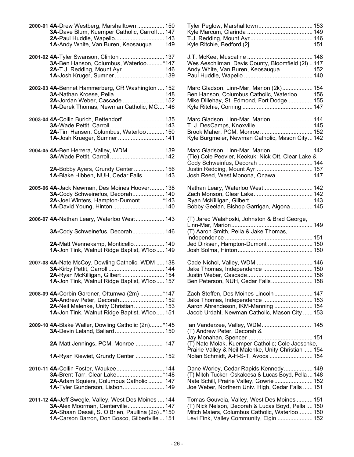| 2000-01 4A-Drew Westberg, Marshalltown  150          | Tyler Peglow, Marshalltown 153                                                                          |     |
|------------------------------------------------------|---------------------------------------------------------------------------------------------------------|-----|
| 3A-Dave Blum, Kuemper Catholic, Carroll  147         |                                                                                                         |     |
| 2A-Paul Huddle, Wapello 143                          |                                                                                                         |     |
| 1A-Andy White, Van Buren, Keosauqua  149             |                                                                                                         |     |
|                                                      |                                                                                                         |     |
| 3A-Ben Hanson, Columbus, Waterloo*147                | Wes Aeschliman, Davis County, Bloomfield (2l)  147                                                      |     |
| 2A-T.J. Redding, Mount Ayr  146                      | Andy White, Van Buren, Keosauqua  152                                                                   |     |
| 1A-Josh Kruger, Sumner  139                          |                                                                                                         |     |
| 2002-03 4A-Bennet Hammerberg, CR Washington  152     | Marc Gladson, Linn-Mar, Marion (2k) 154                                                                 |     |
|                                                      | Ben Hanson, Columbus Catholic, Waterloo  156                                                            |     |
| 2A-Jordan Weber, Cascade  152                        | Mike Dillehay, St. Edmond, Fort Dodge 155                                                               |     |
| 1A-Derek Thomas, Newman Catholic, MC 146             |                                                                                                         |     |
| 2003-04 4A-Collin Burich, Bettendorf  135            | Marc Gladson, Linn-Mar, Marion  144                                                                     |     |
|                                                      |                                                                                                         |     |
| 2A-Tim Hansen, Columbus, Waterloo  150               | Brook Maher, PCM, Monroe 152                                                                            |     |
| 1A-Josh Krueger, Sumner 141                          | Kyle Burgmeier, Newman Catholic, Mason City 142                                                         |     |
|                                                      |                                                                                                         |     |
| 2004-05 4A-Ben Herrera, Valley, WDM 139              | Marc Gladson, Linn-Mar, Marion  142<br>(Tie) Cole Peevler, Keokuk; Nick Ott, Clear Lake &               |     |
|                                                      | Cody Schweinfus, Decorah  144                                                                           |     |
|                                                      |                                                                                                         |     |
| 2A-Bobby Ayers, Grundy Center 156                    |                                                                                                         |     |
| 1A-Blake Hibben, NUH, Cedar Falls  143               | Josh Reed, West Monona, Onawa 147                                                                       |     |
| 2005-06 4A-Jack Newman, Des Moines Hoover 138        | Nathan Leary, Waterloo West 142                                                                         |     |
| 3A-Cody Schweinefus, Decorah 140                     |                                                                                                         |     |
| 2A-Joel Winters, Hampton-Dumont *143                 |                                                                                                         |     |
|                                                      | Bobby Geelan, Bishop Garrigan, Algona 145                                                               |     |
|                                                      |                                                                                                         |     |
| 2006-07 4A-Nathan Leary, Waterloo West 143           | (T) Jared Walahoski, Johnston & Brad George,                                                            |     |
|                                                      |                                                                                                         |     |
| 3A-Cody Schweinefus, Decorah 146                     | (T) Aaron Smith, Pella & Jake Thomas,                                                                   |     |
|                                                      |                                                                                                         |     |
| 2A-Matt Wennekamp, Monticello 149                    | Jed Dirksen, Hampton-Dumont  150                                                                        |     |
| 1A-Jon Tink, Walnut Ridge Baptist, W'loo 149         |                                                                                                         |     |
| 2007-08 4A-Nate McCoy, Dowling Catholic, WDM  138    |                                                                                                         |     |
|                                                      | Jake Thomas, Independence  150                                                                          |     |
| 2A-Ryan McKilligan, Gilbert 154                      |                                                                                                         |     |
| 1A-Jon Tink, Walnut Ridge Baptist, W'loo 157         | Ben Peterson, NUH, Cedar Falls 158                                                                      |     |
| 2008-09 4A-Corbin Gardner, Ottumwa (2m) *147         | Zach Steffen, Des Moines Lincoln 147                                                                    |     |
| 3A-Andrew Peter, Decorah 152                         | Jake Thomas, Independence  153                                                                          |     |
| 2A-Neil Malenke, Unity Christian 153                 | Aaron Ahrendeson, IKM-Manning  154                                                                      |     |
| 1A-Jon Tink, Walnut Ridge Baptist, W'loo 151         | Jacob Urdahl, Newman Catholic, Mason City  153                                                          |     |
| 2009-10 4A-Blake Waller, Dowling Catholic (2n)*145   | Ian Vanderzee, Valley, WDM 145                                                                          |     |
| 3A-Devin Leland, Ballard 150                         | (T) Andrew Peter, Decorah &                                                                             |     |
|                                                      |                                                                                                         |     |
| 2A-Matt Jennings, PCM, Monroe  147                   | (T) Nate Molak, Kuemper Catholic; Cole Jaeschke,<br>Prairie Valley & Neil Malenke, Unity Christian  154 |     |
| 1A-Ryan Kiewiet, Grundy Center  152                  | Nolan Schmidt, A-H-S-T, Avoca  154                                                                      |     |
| 2010-11 4A-Collin Foster, Waukee 144                 | Dane Worley, Cedar Rapids Kennedy 149                                                                   |     |
| 3A-Brent Tarr, Clear Lake* 148                       | (T) Mitch Tucker, Oskaloosa & Lucas Boyd, Pella  148                                                    |     |
| 2A-Adam Squiers, Columbus Catholic  147              | Nate Schill, Prairie Valley, Gowrie 152                                                                 |     |
|                                                      |                                                                                                         |     |
| 1A-Tyler Gunderson, Lisbon 149                       | Joe Weber, Northern Univ. High, Cedar Falls  151                                                        |     |
| 2011-12 4A-Jeff Swegle, Valley, West Des Moines  144 | Tomas Gouveia, Valley, West Des Moines  151                                                             |     |
| 3A-Alex Moorman, Centerville 147                     | (T) Nick Nelson, Decorah & Lucas Boyd, Pella  150                                                       |     |
| 2A-Shaan Desaii, S. O'Brien, Paullina (20)*150       | Mitch Maiers, Columbus Catholic, Waterloo 150                                                           |     |
| <b>1A-Carson Barron, Don Bosco, Gilbertville</b> 151 | Levi Fink, Valley Community, Floin                                                                      | 152 |

| 4A-Drew Westberg, Marshalltown  150<br>3A-Dave Blum, Kuemper Catholic, Carroll  147 | Tyler Peglow, Marshalltown 153                       |
|-------------------------------------------------------------------------------------|------------------------------------------------------|
|                                                                                     |                                                      |
| 2A-Paul Huddle, Wapello 143                                                         |                                                      |
| 1A-Andy White, Van Buren, Keosauqua  149                                            |                                                      |
|                                                                                     |                                                      |
| 3A-Ben Hanson, Columbus, Waterloo*147                                               | Wes Aeschliman, Davis County, Bloomfield (2I)  147   |
| 2A-T.J. Redding, Mount Ayr  146                                                     | Andy White, Van Buren, Keosauqua  152                |
|                                                                                     |                                                      |
|                                                                                     |                                                      |
| 4A-Bennet Hammerberg, CR Washington  152                                            | Marc Gladson, Linn-Mar, Marion (2k) 154              |
| 3A-Nathan Kroese, Pella  148                                                        | Ben Hanson, Columbus Catholic, Waterloo  156         |
| 2A-Jordan Weber, Cascade  152                                                       | Mike Dillehay, St. Edmond, Fort Dodge 155            |
| 1A-Derek Thomas, Newman Catholic, MC 146                                            |                                                      |
| 4A-Collin Burich, Bettendorf  135                                                   | Marc Gladson, Linn-Mar, Marion  144                  |
|                                                                                     |                                                      |
|                                                                                     |                                                      |
| 2A-Tim Hansen, Columbus, Waterloo  150                                              |                                                      |
| 1A-Josh Krueger, Sumner  141                                                        | Kyle Burgmeier, Newman Catholic, Mason City 142      |
| 4A-Ben Herrera, Valley, WDM 139                                                     | Marc Gladson, Linn-Mar, Marion  142                  |
|                                                                                     | (Tie) Cole Peevler, Keokuk; Nick Ott, Clear Lake &   |
|                                                                                     | Cody Schweinfus, Decorah  144                        |
| 2A-Bobby Ayers, Grundy Center  156                                                  |                                                      |
| 1A-Blake Hibben, NUH, Cedar Falls  143                                              | Josh Reed, West Monona, Onawa 147                    |
|                                                                                     |                                                      |
| 4A-Jack Newman, Des Moines Hoover 138                                               | Nathan Leary, Waterloo West 142                      |
| 3A-Cody Schweinefus, Decorah 140                                                    |                                                      |
| 2A-Joel Winters, Hampton-Dumont *143                                                |                                                      |
|                                                                                     | Bobby Geelan, Bishop Garrigan, Algona 145            |
| 4A-Nathan Leary, Waterloo West 143                                                  | (T) Jared Walahoski, Johnston & Brad George,         |
|                                                                                     |                                                      |
| 3A-Cody Schweinefus, Decorah 146                                                    | (T) Aaron Smith, Pella & Jake Thomas,                |
|                                                                                     |                                                      |
| 2A-Matt Wennekamp, Monticello 149                                                   |                                                      |
|                                                                                     | Jed Dirksen, Hampton-Dumont  150                     |
| 1A-Jon Tink, Walnut Ridge Baptist, W'loo 149                                        |                                                      |
| 4A-Nate McCoy, Dowling Catholic, WDM  138                                           |                                                      |
|                                                                                     | Jake Thomas, Independence  150                       |
| 2A-Ryan McKilligan, Gilbert 154                                                     |                                                      |
| 1A-Jon Tink, Walnut Ridge Baptist, W'loo 157                                        | Ben Peterson, NUH, Cedar Falls 158                   |
|                                                                                     |                                                      |
| 4A-Corbin Gardner, Ottumwa (2m) *147                                                |                                                      |
| 3A-Andrew Peter, Decorah 152                                                        | Jake Thomas, Independence  153                       |
| 2A-Neil Malenke, Unity Christian 153                                                | Aaron Ahrendeson, IKM-Manning  154                   |
| 1A-Jon Tink, Walnut Ridge Baptist, W'loo 151                                        | Jacob Urdahl, Newman Catholic, Mason City  153       |
| 4A-Blake Waller, Dowling Catholic (2n)*145                                          | Ian Vanderzee, Valley, WDM 145                       |
| 3A-Devin Leland, Ballard 150                                                        | (T) Andrew Peter, Decorah &                          |
|                                                                                     |                                                      |
| 2A-Matt Jennings, PCM, Monroe  147                                                  | (T) Nate Molak, Kuemper Catholic; Cole Jaeschke,     |
|                                                                                     | Prairie Valley & Neil Malenke, Unity Christian  154  |
| 1A-Ryan Kiewiet, Grundy Center  152                                                 | Nolan Schmidt, A-H-S-T, Avoca  154                   |
|                                                                                     |                                                      |
| 4A-Collin Foster, Waukee 144                                                        | Dane Worley, Cedar Rapids Kennedy 149                |
| 3A-Brent Tarr, Clear Lake* 148                                                      | (T) Mitch Tucker, Oskaloosa & Lucas Boyd, Pella  148 |
| 2A-Adam Squiers, Columbus Catholic  147                                             | Nate Schill, Prairie Valley, Gowrie 152              |
| 1A-Tyler Gunderson, Lisbon 149                                                      | Joe Weber, Northern Univ. High, Cedar Falls  151     |
|                                                                                     |                                                      |
| 4A-Jeff Swegle, Valley, West Des Moines  144                                        | Tomas Gouveia, Valley, West Des Moines  151          |
| 3A-Alex Moorman, Centerville 147                                                    | (T) Nick Nelson, Decorah & Lucas Boyd, Pella  150    |
| 2A-Shaan Desaii, S. O'Brien, Paullina (2o)*150                                      | Mitch Maiers, Columbus Catholic, Waterloo 150        |
| 1A-Carson Barron, Don Bosco, Gilbertville  151                                      | Levi Fink, Valley Community, Elgin  152              |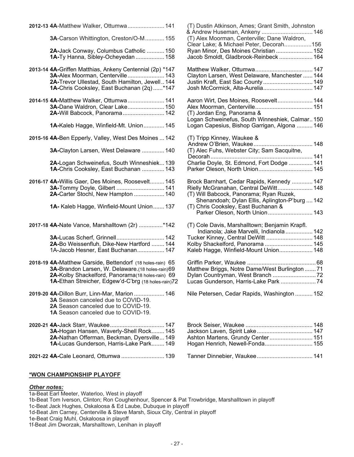| 2012-13 4A-Matthew Walker, Ottumwa 141                    | (T) Dustin Atkinson, Ames; Grant Smith, Johnston                                        |  |
|-----------------------------------------------------------|-----------------------------------------------------------------------------------------|--|
| 3A-Carson Whittington, Creston/O-M 155                    | (T) Alex Moorman, Centerville; Dane Waldron,<br>Clear Lake; & Michael Peter, Decorah156 |  |
| 2A-Jack Conway, Columbus Catholic  150                    | Ryan Minor, Des Moines Christian  152                                                   |  |
| 1A-Ty Hanna, Sibley-Ocheyedan  158                        | Jacob Smoldt, Gladbrook-Reinbeck  164                                                   |  |
| 2013-14 4A-Griffen Matthias, Ankeny Centennial (2p) *147  |                                                                                         |  |
| <b>3A-Alex Moorman, Centerville  143</b>                  | Clayton Larsen, West Delaware, Manchester  144                                          |  |
| 2A-Trevor Ullestad, South Hamilton, Jewell 144            | Justin Kraft, East Sac County  149                                                      |  |
| 1A-Chris Cooksley, East Buchanan (2q)*147                 | Josh McCormick, Alta-Aurelia 147                                                        |  |
| 2014-15 4A-Matthew Walker, Ottumwa 141                    | Aaron Wirt, Des Moines, Roosevelt 144                                                   |  |
| 3A-Dane Waldron, Clear Lake 150                           |                                                                                         |  |
| 2A-Will Babcock, Panorama 142                             | (T) Jordan Eng, Panorama &                                                              |  |
|                                                           | Logan Schweinefus, South Winneshiek, Calmar 150                                         |  |
| 1A-Kaleb Hagge, Winfield-Mt. Union 145                    | Logan Capesius, Bishop Garrigan, Algona  146                                            |  |
| 2015-16 4A-Ben Epperly, Valley, West Des Moines  142      | (T) Tripp Kinney, Waukee &                                                              |  |
|                                                           |                                                                                         |  |
| 3A-Clayton Larsen, West Delaware  140                     | (T) Alec Fuhs, Webster City; Sam Sacquitne,                                             |  |
| 2A-Logan Schweinefus, South Winneshiek 139                | Charlie Doyle, St. Edmond, Fort Dodge  141                                              |  |
| 1A-Chris Cooksley, East Buchanan  143                     |                                                                                         |  |
| 2016-17 4A-Willis Gaer, Des Moines, Roosevelt 145         | Brock Barnhart, Cedar Rapids, Kennedy  147                                              |  |
| 3A-Tommy Doyle, Gilbert  141                              | Rielly McGranahan, Central DeWitt 148                                                   |  |
| 2A-Carter Stochl, New Hampton  140                        | (T) Will Babcock, Panorama; Ryan Ruzek,                                                 |  |
|                                                           | Shenandoah; Dylan Ellis, Aplington-P'burg  142                                          |  |
| 1A- Kaleb Hagge, Winfield-Mount Union 137                 | (T) Chris Cooksley, East Buchanan &                                                     |  |
|                                                           | Parker Oleson, North Union 143                                                          |  |
| 2017-18 4A-Nate Vance, Marshalltown (2r) *142             | (T) Cole Davis, Marshalltown; Benjamin Krapfl.                                          |  |
|                                                           | Indianola; Jake Marvelli, Indianola  142                                                |  |
| 3A-Lucas Scherf, Grinnell 142                             | Tucker Kinney, Central DeWitt  148                                                      |  |
| 2A-Bo Weissenfluh, Dike-New Hartford  144                 | Kolby Shackelford, Panorama  145                                                        |  |
| 1A-Jacob Hesner, East Buchanan 147                        | Kaleb Hagge, Winfield-Mount Union 148                                                   |  |
| 2018-19 4A-Matthew Garside, Bettendorf (18 holes-rain) 65 |                                                                                         |  |
| 3A-Brandon Larsen, W. Delaware.(18 holes-rain) 69         | Matthew Briggs, Notre Dame/West Burlington  71                                          |  |
| 2A-Kolby Shackelford, Panorama(18 holes-rain) 69          |                                                                                         |  |
| 1A-Ethan Streicher, Edgew'd-C'brg (18 holes-rain)72       |                                                                                         |  |
| 2019-20 4A-Dillon Burr, Linn-Mar, Marion  146             | Nile Petersen, Cedar Rapids, Washington  152                                            |  |
| 3A Season canceled due to COVID-19.                       |                                                                                         |  |
| 2A Season canceled due to COVID-19.                       |                                                                                         |  |
| <b>1A</b> Season canceled due to COVID-19.                |                                                                                         |  |
|                                                           |                                                                                         |  |
| 3A-Hogan Hansen, Waverly-Shell Rock 145                   |                                                                                         |  |
| 2A-Nathan Offerman, Beckman, Dyersville 149               | Ashton Martens, Grundy Center 151                                                       |  |
| 1A-Lucas Gunderson, Harris-Lake Park 149                  | Hogan Henrich, Newell-Fonda 155                                                         |  |
| 2021-22 4A-Cale Leonard, Ottumwa  139                     |                                                                                         |  |
|                                                           |                                                                                         |  |

| (T) Dustin Atkinson, Ames; Grant Smith, Johnston<br>& Andrew Huseman, Ankeny  146<br>(T) Alex Moorman, Centerville; Dane Waldron,<br>Clear Lake; & Michael Peter, Decorah156<br>Ryan Minor, Des Moines Christian  152<br>Jacob Smoldt, Gladbrook-Reinbeck  164 |  |
|----------------------------------------------------------------------------------------------------------------------------------------------------------------------------------------------------------------------------------------------------------------|--|
| Clayton Larsen, West Delaware, Manchester  144<br>Justin Kraft, East Sac County  149<br>Josh McCormick, Alta-Aurelia 147                                                                                                                                       |  |
| Aaron Wirt, Des Moines, Roosevelt 144<br>(T) Jordan Eng, Panorama &<br>Logan Schweinefus, South Winneshiek, Calmar 150<br>Logan Capesius, Bishop Garrigan, Algona  146                                                                                         |  |
| (T) Tripp Kinney, Waukee &<br>(T) Alec Fuhs, Webster City; Sam Sacquitne,<br>Charlie Doyle, St. Edmond, Fort Dodge  141                                                                                                                                        |  |
| Brock Barnhart, Cedar Rapids, Kennedy  147<br>Rielly McGranahan, Central DeWitt 148<br>(T) Will Babcock, Panorama; Ryan Ruzek,<br>Shenandoah; Dylan Ellis, Aplington-P'burg  142<br>(T) Chris Cooksley, East Buchanan &<br>Parker Oleson, North Union 143      |  |
| (T) Cole Davis, Marshalltown; Benjamin Krapfl.<br>Indianola; Jake Marvelli, Indianola  142<br>Tucker Kinney, Central DeWitt  148<br>Kolby Shackelford, Panorama  145<br>Kaleḃ Hagge, Winfield-Mount Union 148                                                  |  |
| Matthew Briggs, Notre Dame/West Burlington  71<br>Dylan Countryman, West Branch 72<br>Lucas Gunderson, Harris-Lake Park 74                                                                                                                                     |  |
| Nile Petersen, Cedar Rapids, Washington  152                                                                                                                                                                                                                   |  |
|                                                                                                                                                                                                                                                                |  |

| Ashton Martens, Grundy Center 151 |  |
|-----------------------------------|--|
|                                   |  |
|                                   |  |
|                                   |  |

#### **\*WON CHAMPIONSHIP PLAYOFF**

#### *Other notes:*

1a-Beat Earl Meeter, Waterloo, West in playoff 1b-Beat Tom Iverson, Clinton; Ron Coughenhour, Spencer & Pat Trowbridge, Marshalltown in playoff 1c-Beat Jack Hughes, Oskaloosa & Ed Laube, Dubuque in playoff 1d-Beat Jim Carney, Centerville & Steve Marsh, Sioux City, Central in playoff 1e-Beat Craig Muhl, Oskaloosa in playoff 1f-Beat Jim Dworzak, Marshalltown, Lenihan in playoff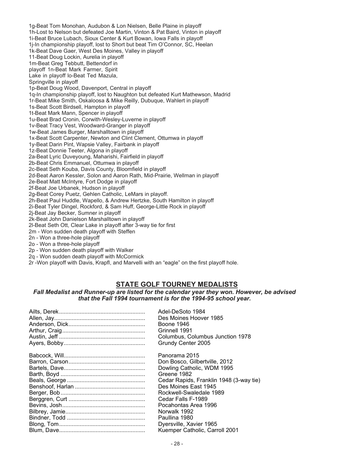1g-Beat Tom Monohan, Audubon & Lon Nielsen, Belle Plaine in playoff 1h-Lost to Nelson but defeated Joe Martin, Vinton & Pat Baird, Vinton in playoff 1i-Beat Bruce Lubach, Sioux Center & Kurt Bowan, Iowa Falls in playoff 1j-In championship playoff, lost to Short but beat Tim O'Connor, SC, Heelan 1k-Beat Dave Gaer, West Des Moines, Valley in playoff 11-Beat Doug Lockin, Aurelia in playoff 1m-Beat Greg Tebbutt, Bettendorf in playoff 1n-Beat Mark Farmer, Spirit Lake in playoff lo-Beat Ted Mazula, Springville in playoff 1p-Beat Doug Wood, Davenport, Central in playoff 1q-In championship playoff, lost to Naughton but defeated Kurt Mathewson, Madrid 1r-Beat Mike Smith, Oskaloosa & Mike Reilly, Dubuque, Wahlert in playoff 1s-Beat Scott Birdsell, Hampton in playoff 1t-Beat Mark Mann, Spencer in playoff 1u-Beat Brad Cronin, Corwith-Wesley-Luverne in playoff 1v-Beat Tracy Vest, Woodward-Granger in playoff 1w-Beat James Burger, Marshalltown in playoff 1x-Beat Scott Carpenter, Newton and Clint Clement, Ottumwa in playoff 1y-Beat Darin Pint, Wapsie Valley, Fairbank in playoff 1z-Beat Donnie Teeter, Algona in playoff 2a-Beat Lyric Duveyoung, Maharishi, Fairfield in playoff 2b-Beat Chris Emmanuel, Ottumwa in playoff 2c-Beat Seth Kouba, Davis County, Bloomfield in playoff 2d-Beat Aaron Kessler, Solon and Aaron Rath, Mid-Prairie, Wellman in playoff 2e-Beat Matt McIntyre, Fort Dodge in playoff 2f-Beat Joe Urbanek, Hudson in playoff 2g-Beat Corey Puetz, Gehlen Catholic, LeMars in playoff. 2h-Beat Paul Huddle, Wapello, & Andrew Hertzke, South Hamilton in playoff 2i-Beat Tyler Dingel, Rockford, & Sam Huff, George-Little Rock in playoff 2j-Beat Jay Becker, Sumner in playoff 2k-Beat John Danielson Marshalltown in playoff 2l-Beat Seth Ott, Clear Lake in playoff after 3-way tie for first 2m - Won sudden death playoff with Steffen 2n - Won a three-hole playoff 2o - Won a three-hole playoff 2p - Won sudden death playoff with Walker 2q - Won sudden death playoff with McCormick 2r -Won playoff with Davis, Krapfl, and Marvelli with an "eagle" on the first playoff hole.

# **STATE GOLF TOURNEY MEDALISTS**

*Fall Medalist and Runner-up are listed for the calendar year they won. However, be advised that the Fall 1994 tournament is for the 1994-95 school year.*

| Adel-DeSoto 1984<br>Des Moines Hoover 1985<br>Boone 1946<br>Grinnell 1991<br>Columbus, Columbus Junction 1978<br>Grundy Center 2005 |
|-------------------------------------------------------------------------------------------------------------------------------------|
| Panorama 2015                                                                                                                       |
| Don Bosco, Gilbertville, 2012                                                                                                       |
| Dowling Catholic, WDM 1995                                                                                                          |
| Greene 1982                                                                                                                         |
| Cedar Rapids, Franklin 1948 (3-way tie)                                                                                             |
| Des Moines East 1945                                                                                                                |
| Rockwell-Swaledale 1989                                                                                                             |
| Cedar Falls F-1989                                                                                                                  |
| Pocahontas Area 1996                                                                                                                |
| Norwalk 1992                                                                                                                        |
| Paullina 1980                                                                                                                       |
| Dyersville, Xavier 1965                                                                                                             |
| Kuemper Catholic, Carroll 2001                                                                                                      |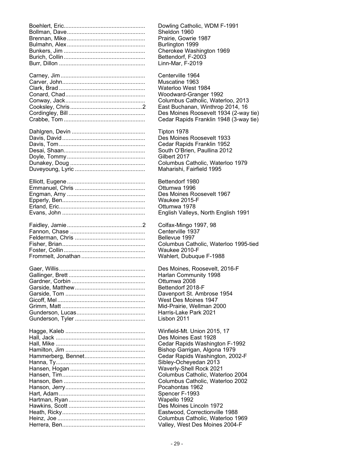| Dowling Catholic, WDM F-1991              |
|-------------------------------------------|
| Sheldon 1960                              |
| Prairie, Gowrie 1987                      |
| Burlington 1999                           |
| Cherokee Washington 1969                  |
| Bettendorf, F-2003                        |
| Linn-Mar, F-2019                          |
| Centerville 1964                          |
| Muscatine 1963                            |
| Waterloo West 1984                        |
| Woodward-Granger 1992                     |
| Columbus Catholic, Waterloo, 2013         |
| East Buchanan, Winthrop 2014, 16          |
| Des Moines Roosevelt 1934 (2-way tie)     |
| Cedar Rapids Franklin 1948 (3-way tie)    |
| Tipton 1978                               |
| Des Moines Roosevelt 1933                 |
| Cedar Rapids Franklin 1952                |
| South O'Brien, Paullina 2012              |
| Gilbert 2017                              |
| Columbus Catholic, Waterloo 1979          |
| Maharishi, Fairfield 1995                 |
| Bettendorf 1980                           |
|                                           |
| Ottumwa 1996<br>Des Moines Roosevelt 1967 |
| Waukee 2015-F                             |
| Ottumwa 1978                              |
| English Valleys, North English 1991       |
|                                           |
| Colfax-Mingo 1997, 98                     |
| Centerville 1937                          |
| Bellevue 1997                             |
| Columbus Catholic, Waterloo 1995-tied     |
| Waukee 2010-F                             |
| Wahlert, Dubuque F-1988                   |
| Des Moines, Roosevelt, 2016-F             |
| Harlan Community 1998                     |
| Ottumwa 2008                              |
| Bettendorf 2018-F                         |
| Davenport St. Ambrose 1954                |
| West Des Moines 1947                      |
| Mid-Prairie, Wellman 2000                 |
| Harris-Lake Park 2021                     |
| Lisbon 2011                               |
| Winfield-Mt. Union 2015, 17               |
| Des Moines East 1928                      |
| Cedar Rapids Washington F-1992            |
| Bishop Garrigan, Algona 1979              |
| Cedar Rapids Washington, 2002-F           |
| Sibley-Ocheyedan 2013                     |
| Waverly-Shell Rock 2021                   |
| Columbus Catholic, Waterloo 2004          |
| Columbus Catholic, Waterloo 2002          |
| Pocahontas 1962                           |
| Spencer F-1993                            |
| Wapello 1992                              |
| Des Moines Lincoln 1972                   |
| Eastwood, Correctionville 1988            |
| Columbus Catholic, Waterloo 1969          |
| Valley, West Des Moines 2004-F            |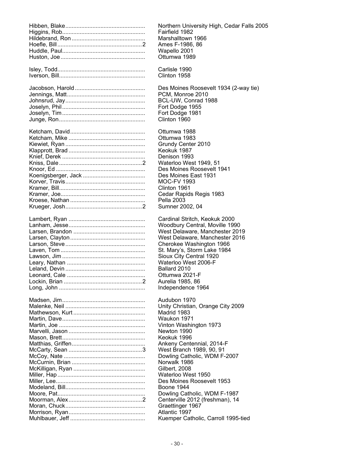| Northern University High, Cedar Falls 2005 |
|--------------------------------------------|
| Fairfield 1982                             |
| Marshalltown 1966                          |
| Ames F-1986, 86                            |
| Wapello 2001                               |
| Ottumwa 1989                               |
| Carlisle 1990                              |
| Clinton 1958                               |
| Des Moines Roosevelt 1934 (2-way tie)      |
| PCM, Monroe 2010                           |
| BCL-UW, Conrad 1988                        |
| Fort Dodge 1955                            |
| Fort Dodge 1981                            |
| Clinton 1960                               |
| Ottumwa 1988                               |
| Ottumwa 1983                               |
| Grundy Center 2010                         |
| Keokuk 1987                                |
| Denison 1993                               |
| Waterloo West 1949, 51                     |
| Des Moines Roosevelt 1941                  |
| Des Moines East 1931                       |
| <b>MOC-FV 1993</b>                         |
| Clinton 1961                               |
| Cedar Rapids Regis 1983                    |
| Pella 2003                                 |
| Sumner 2002, 04                            |
| Cardinal Stritch, Keokuk 2000              |
| Woodbury Central, Moville 1990             |
| West Delaware, Manchester 2019             |
| West Delaware, Manchester 2016             |
| Cherokee Washington 1966                   |
| St. Mary's, Storm Lake 1984                |
| Sioux City Central 1920                    |
| Waterloo West 2006-F                       |
| Ballard 2010                               |
| Ottumwa 2021-F                             |
| Aurelia 1985, 86                           |
| Independence 1964                          |
| Audubon 1970                               |
| Unity Christian, Orange City 2009          |
| Madrid 1983                                |
| Waukon 1971                                |
| Vinton Washington 1973                     |
| Newton 1990                                |
| Keokuk 1996                                |
| Ankeny Centennial, 2014-F                  |
| West Branch 1989, 90, 91                   |
| Dowling Catholic, WDM F-2007               |
| Norwalk 1986                               |
| Gilbert, 2008                              |
| Waterloo West 1950                         |
| Des Moines Roosevelt 1953                  |
| Boone 1944                                 |
| Dowling Catholic, WDM F-1987               |
| Centerville 2012 (freshman), 14            |
| Graettinger 1967                           |
| Atlantic 1997                              |
| Kuemper Catholic, Carroll 1995-tied        |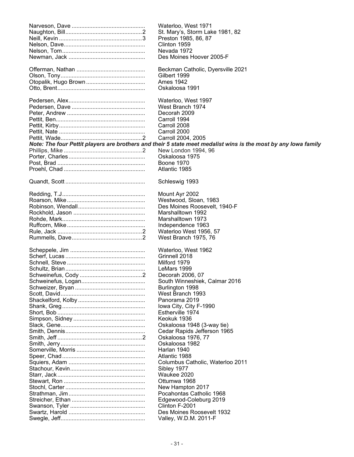| Waterloo, West 1971                                                                                            |
|----------------------------------------------------------------------------------------------------------------|
| St. Mary's, Storm Lake 1981, 82                                                                                |
| Preston 1985, 86, 87                                                                                           |
| Clinton 1959                                                                                                   |
| Nevada 1972                                                                                                    |
| Des Moines Hoover 2005-F                                                                                       |
|                                                                                                                |
| Beckman Catholic, Dyersville 2021                                                                              |
| Gilbert 1999                                                                                                   |
|                                                                                                                |
| <b>Ames 1942</b>                                                                                               |
| Oskaloosa 1991                                                                                                 |
|                                                                                                                |
| Waterloo, West 1997                                                                                            |
| West Branch 1974                                                                                               |
| Decorah 2009                                                                                                   |
| Carroll 1994                                                                                                   |
| Carroll 2008                                                                                                   |
| Carroll 2000                                                                                                   |
| Carroll 2004, 2005                                                                                             |
| Note: The four Pettit players are brothers and their 5 state meet medalist wins is the most by any lowa family |
| New London 1994, 96                                                                                            |
| Oskaloosa 1975                                                                                                 |
| <b>Boone 1970</b>                                                                                              |
| Atlantic 1985                                                                                                  |
|                                                                                                                |
| Schleswig 1993                                                                                                 |
|                                                                                                                |
| Mount Ayr 2002                                                                                                 |
| Westwood, Sloan, 1983                                                                                          |
| Des Moines Roosevelt, 1940-F                                                                                   |
| Marshalltown 1992                                                                                              |
|                                                                                                                |
| Marshalltown 1973                                                                                              |
| Independence 1963                                                                                              |
| Waterloo West 1956, 57                                                                                         |
| West Branch 1975, 76                                                                                           |
|                                                                                                                |
| Waterloo, West 1962                                                                                            |
| Grinnell 2018                                                                                                  |
| Milford 1979                                                                                                   |
| LeMars 1999                                                                                                    |
| Decorah 2006, 07                                                                                               |
| South Winneshiek, Calmar 2016                                                                                  |
| Burlington 1998                                                                                                |
| West Branch 1993                                                                                               |
| Panorama 2019                                                                                                  |
| Iowa City, City F-1990                                                                                         |
| Estherville 1974                                                                                               |
| Keokuk 1936                                                                                                    |
| Oskaloosa 1948 (3-way tie)                                                                                     |
|                                                                                                                |
| Cedar Rapids Jefferson 1965                                                                                    |
| Oskaloosa 1976, 77                                                                                             |
| Oskaloosa 1982                                                                                                 |
| Harlan 1940                                                                                                    |
| Atlantic 1988                                                                                                  |
| Columbus Catholic, Waterloo 2011                                                                               |
| Sibley 1977                                                                                                    |
| Waukee 2020                                                                                                    |
| Ottumwa 1968                                                                                                   |
| New Hampton 2017                                                                                               |
| Pocahontas Catholic 1968                                                                                       |
| Edgewood-Coleburg 2019                                                                                         |
| Clinton F-2001                                                                                                 |
| Des Moines Roosevelt 1932                                                                                      |
|                                                                                                                |
| Valley, W.D.M. 2011-F                                                                                          |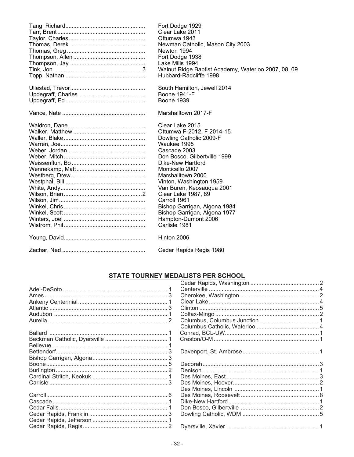| Fort Dodge 1929<br>Clear Lake 2011<br>Ottumwa 1943<br>Newman Catholic, Mason City 2003<br>Newton 1994<br>Fort Dodge 1938<br>Lake Mills 1994<br>Walnut Ridge Baptist Academy, Waterloo 2007, 08, 09<br>Hubbard-Radcliffe 1998 |
|------------------------------------------------------------------------------------------------------------------------------------------------------------------------------------------------------------------------------|
| South Hamilton, Jewell 2014                                                                                                                                                                                                  |
| <b>Boone 1941-F</b>                                                                                                                                                                                                          |
| <b>Boone 1939</b>                                                                                                                                                                                                            |
| Marshalltown 2017-F                                                                                                                                                                                                          |
| Clear Lake 2015                                                                                                                                                                                                              |
| Ottumwa F-2012, F 2014-15                                                                                                                                                                                                    |
| Dowling Catholic 2009-F                                                                                                                                                                                                      |
| Waukee 1995                                                                                                                                                                                                                  |
| Cascade 2003                                                                                                                                                                                                                 |
| Don Bosco, Gilbertville 1999                                                                                                                                                                                                 |
| Dike-New Hartford                                                                                                                                                                                                            |
| Monticello 2007                                                                                                                                                                                                              |
| Marshalltown 2000                                                                                                                                                                                                            |
| Vinton, Washington 1959                                                                                                                                                                                                      |
| Van Buren, Keosauqua 2001                                                                                                                                                                                                    |
| Clear Lake 1987, 89                                                                                                                                                                                                          |
| Carroll 1961                                                                                                                                                                                                                 |
| Bishop Garrigan, Algona 1984                                                                                                                                                                                                 |
| Bishop Garrigan, Algona 1977                                                                                                                                                                                                 |
| Hampton-Dumont 2006                                                                                                                                                                                                          |
| Carlisle 1981                                                                                                                                                                                                                |
| Hinton 2006                                                                                                                                                                                                                  |
| Cedar Rapids Regis 1980                                                                                                                                                                                                      |

# STATE TOURNEY MEDALISTS PER SCHOOL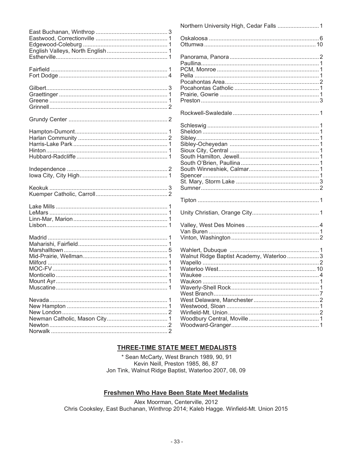|  | Walnut Ridge Baptist Academy, Waterloo  3 |  |
|--|-------------------------------------------|--|
|  |                                           |  |
|  |                                           |  |
|  |                                           |  |
|  |                                           |  |
|  |                                           |  |
|  |                                           |  |
|  |                                           |  |
|  |                                           |  |
|  |                                           |  |
|  |                                           |  |
|  |                                           |  |
|  |                                           |  |
|  |                                           |  |

# **THREE-TIME STATE MEET MEDALISTS**

\* Sean McCarty, West Branch 1989, 90, 91 Kevin Neill, Preston 1985, 86, 87 Jon Tink, Walnut Ridge Baptist, Waterloo 2007, 08, 09

# Freshmen Who Have Been State Meet Medalists

Alex Moorman, Centerville, 2012 Chris Cooksley, East Buchanan, Winthrop 2014; Kaleb Hagge. Winfield-Mt. Union 2015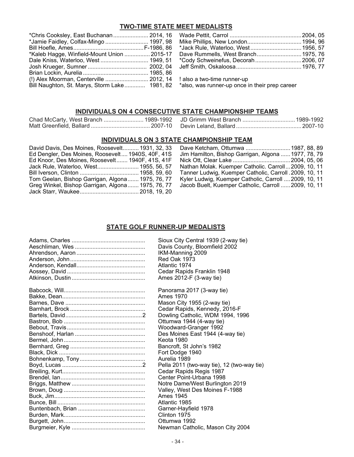# **TWO-TIME STATE MEET MEDALISTS**

|                                                                                              | *Kaleb Hagge, Winfield-Mount Union  2015-17 Dave Rummells, West Branch 1975, 76 |
|----------------------------------------------------------------------------------------------|---------------------------------------------------------------------------------|
|                                                                                              |                                                                                 |
|                                                                                              |                                                                                 |
|                                                                                              |                                                                                 |
| (!) Alex Moorman, Centerville  2012, 14   also a two-time runner-up                          |                                                                                 |
| Bill Naughton, St. Marys, Storm Lake 1981, 82 *also, was runner-up once in their prep career |                                                                                 |

# **INDIVIDUALS ON 4 CONSECUTIVE STATE CHAMPIONSHIP TEAMS**

# **INDIVIDUALS ON 3 STATE CHAMPIONSHIP TEAM**

| David Davis, Des Moines, Roosevelt 1931, 32, 33   |  |
|---------------------------------------------------|--|
| Ed Dengler, Des Moines, Roosevelt 1940S, 40F, 41S |  |
| Ed Knoor, Des Moines, Roosevelt 1940F, 41S, 41F   |  |
| Jack Rule, Waterloo, West 1955, 56, 57            |  |
|                                                   |  |
| Tom Geelan, Bishop Garrigan, Algona 1975, 76, 77  |  |
| Greg Winkel, Bishop Garrigan, Algona 1975, 76, 77 |  |
|                                                   |  |
|                                                   |  |

| David Davis, Des Moines, Roosevelt 1931, 32, 33   |                                                         |
|---------------------------------------------------|---------------------------------------------------------|
| Ed Dengler, Des Moines, Roosevelt 1940S, 40F, 41S | Jim Hamilton, Bishop Garrigan, Algona  1977, 78, 79     |
| Ed Knoor, Des Moines, Roosevelt 1940F, 41S, 41F   |                                                         |
| Jack Rule, Waterloo, West 1955, 56, 57            | Nathan Molak. Kuemper Catholic. Carroll2009, 10, 11     |
|                                                   | Tanner Ludwig, Kuemper Catholic, Carroll . 2009, 10, 11 |
| Tom Geelan, Bishop Garrigan, Algona 1975, 76, 77  | Kyler Ludwig, Kuemper Catholic, Carroll  2009, 10, 11   |
| Greg Winkel, Bishop Garrigan, Algona 1975, 76, 77 | Jacob Buelt, Kuemper Catholic, Carroll  2009, 10, 11    |
|                                                   |                                                         |

# **STATE GOLF RUNNER-UP MEDALISTS**

| Sioux City Central 1939 (2-way tie)        |
|--------------------------------------------|
| Davis County, Bloomfield 2002              |
| IKM-Manning 2009                           |
| <b>Red Oak 1973</b>                        |
| Atlantic 1974                              |
| Cedar Rapids Franklin 1948                 |
| Ames 2012-F (3-way tie)                    |
| Panorama 2017 (3-way tie)                  |
| Ames 1970                                  |
| Mason City 1955 (2-way tie)                |
| Cedar Rapids, Kennedy, 2016-F              |
| Dowling Catholic, WDM 1994, 1996           |
| Ottumwa 1944 (4-way tie)                   |
| Woodward-Granger 1992                      |
| Des Moines East 1944 (4-way tie)           |
| Keota 1980                                 |
| Bancroft, St John's 1982                   |
| Fort Dodge 1940                            |
| Aurelia 1989                               |
| Pella 2011 (two-way tie), 12 (two-way tie) |
| Cedar Rapids Regis 1987                    |
| Center Point-Urbana 1998                   |
| Notre Dame/West Burlington 2019            |
| Valley, West Des Moines F-1988             |
| Ames 1945                                  |
| Atlantic 1985                              |
| Garner-Hayfield 1978                       |
| Clinton 1975                               |
| Ottumwa 1992                               |
| Newman Catholic, Mason City 2004           |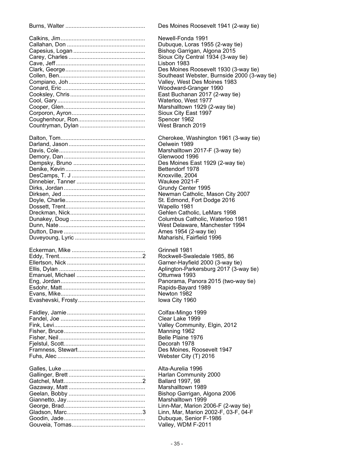| Des Moines Roosevelt 1941 (2-way tie)             |
|---------------------------------------------------|
| Newell-Fonda 1991                                 |
| Dubuque, Loras 1955 (2-way tie)                   |
| Bishop Garrigan, Algona 2015                      |
| Sioux City Central 1934 (3-way tie)               |
| Lisbon 1983                                       |
|                                                   |
| Des Moines Roosevelt 1930 (3-way tie)             |
| Southeast Webster, Burnside 2000 (3-way tie)      |
| Valley, West Des Moines 1983                      |
| Woodward-Granger 1990                             |
| East Buchanan 2017 (2-way tie)                    |
| Waterloo, West 1977                               |
| Marshalltown 1929 (2-way tie)                     |
| Sioux City East 1997                              |
| Spencer 1962                                      |
| West Branch 2019                                  |
| Cherokee, Washington 1961 (3-way tie)             |
| Oelwein 1989                                      |
| Marshalltown 2017-F (3-way tie)                   |
| Glenwood 1996                                     |
| Des Moines East 1929 (2-way tie)                  |
| Bettendorf 1978                                   |
| Knoxville, 2004                                   |
| Waukee 2021-F                                     |
|                                                   |
| Grundy Center 1995                                |
| Newman Catholic, Mason City 2007                  |
| St. Edmond, Fort Dodge 2016                       |
| Wapello 1981                                      |
| Gehlen Catholic, LeMars 1998                      |
| Columbus Catholic, Waterloo 1981                  |
| West Delaware, Manchester 1994                    |
| Ames 1954 (2-way tie)                             |
| Maharishi, Fairfield 1996                         |
| Grinnell 1981                                     |
| Rockwell-Swaledale 1985, 86                       |
| Garner-Hayfield 2000 (3-way tie)                  |
| Aplington-Parkersburg 2017 (3-way tie)            |
| Ottumwa 1993                                      |
| Panorama, Panora 2015 (two-way tie)               |
| Rapids-Bayard 1989                                |
| Newton 1982                                       |
|                                                   |
| lowa City 1960                                    |
| Colfax-Mingo 1999                                 |
| Clear Lake 1999                                   |
| Valley Community, Elgin, 2012                     |
| Manning 1962                                      |
| Belle Plaine 1976                                 |
| Decorah 1978                                      |
| Des Moines, Roosevelt 1947                        |
| Webster City (T) 2016                             |
| Alta-Aurelia 1996                                 |
| Harlan Community 2000                             |
| Ballard 1997, 98                                  |
| Marshalltown 1989                                 |
|                                                   |
| Bishop Garrigan, Algona 2006<br>Marshalltown 1999 |
| Linn-Mar, Marion 2006-F (2-way tie)               |
| Linn, Mar, Marion 2002-F, 03-F, 04-F              |
| Dubuque, Senior F-1986                            |
|                                                   |
| Valley, WDM F-2011                                |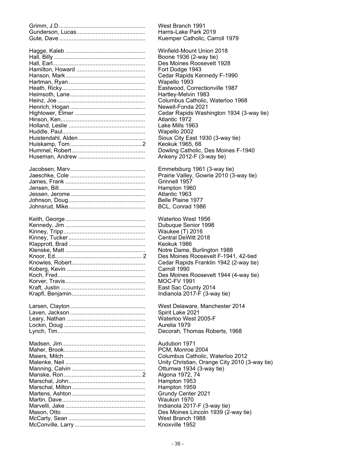| West Branch 1991                              |
|-----------------------------------------------|
| Harris-Lake Park 2019                         |
| Kuemper Catholic, Carroll 1979                |
| Winfield-Mount Union 2018                     |
| Boone 1936 (2-way tie)                        |
| Des Moines Roosevelt 1928                     |
| Fort Dodge 1943                               |
|                                               |
| Cedar Rapids Kennedy F-1990                   |
| Wapello 1993                                  |
| Eastwood, Correctionville 1987                |
| Hartley-Melvin 1983                           |
| Columbus Catholic, Waterloo 1968              |
| Newell-Fonda 2021                             |
| Cedar Rapids Washington 1934 (3-way tie)      |
| Atlantic 1972                                 |
| Lake Mills 1963                               |
| Wapello 2002                                  |
| Sioux City East 1930 (3-way tie)              |
|                                               |
| Keokuk 1965, 66                               |
| Dowling Catholic, Des Moines F-1940           |
| Ankeny 2012-F (3-way tie)                     |
| Emmetsburg 1961 (3-way tie)                   |
| Prairie Valley, Gowrie 2010 (3-way tie)       |
| Grinnell 1957                                 |
| Hampton 1960                                  |
| Atlantic 1963                                 |
| Belle Plaine 1977                             |
| BCL, Conrad 1986                              |
|                                               |
| Waterloo West 1956                            |
| Dubuque Senior 1998                           |
| Waukee (T) 2016                               |
| Central DeWitt 2018                           |
| Keokuk 1986                                   |
| Notre Dame, Burlington 1988                   |
| Des Moines Roosevelt F-1941, 42-tied          |
| Cedar Rapids Franklin 1942 (2-way tie)        |
| Carroll 1990                                  |
| Des Moines Roosevelt 1944 (4-way tie)         |
|                                               |
| <b>MOC-FV 1991</b>                            |
| East Sac County 2014                          |
| Indianola 2017-F (3-way tie)                  |
| West Delaware, Manchester 2014                |
| Spirit Lake 2021                              |
| Waterloo West 2005-F                          |
| Aurelia 1979                                  |
| Decorah, Thomas Roberts, 1968                 |
|                                               |
| Audubon 1971                                  |
| PCM, Monroe 2004                              |
| Columbus Catholic, Waterloo 2012              |
| Unity Christian, Orange City 2010 (3-way tie) |
| Ottumwa 1934 (3-way tie)                      |
| Algona 1972, 74                               |
| Hampton 1953                                  |
| Hampton 1959                                  |
| Grundy Center 2021                            |
| Waukon 1970                                   |
|                                               |
| Indianola 2017-F (3-way tie)                  |
| Des Moines Lincoln 1939 (2-way tie)           |
| West Branch 1988                              |
| Knoxville 1952                                |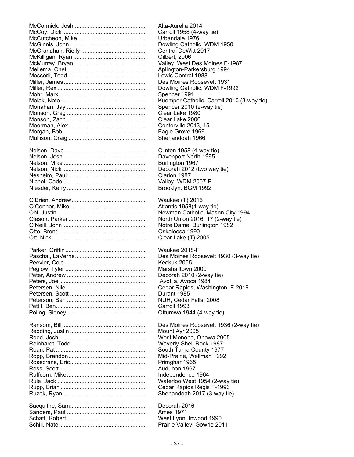| Alta-Aurelia 2014                          |
|--------------------------------------------|
| Carroll 1958 (4-way tie)                   |
| Urbandale 1976                             |
| Dowling Catholic, WDM 1950                 |
| Central DeWitt 2017                        |
| Gilbert, 2006                              |
| Valley, West Des Moines F-1987             |
| Aplington-Parkersburg 1994                 |
| Lewis Central 1988                         |
| Des Moines Roosevelt 1931                  |
| Dowling Catholic, WDM F-1992               |
| Spencer 1991                               |
| Kuemper Catholic, Carroll 2010 (3-way tie) |
| Spencer 2010 (2-way tie)                   |
| Clear Lake 1980                            |
| Clear Lake 2006                            |
| Centerville 2013, 15                       |
| Eagle Grove 1969                           |
| Shenandoah 1966                            |
| Clinton 1958 (4-way tie)                   |
| Davenport North 1995                       |
| Burlington 1967                            |
| Decorah 2012 (two way tie)                 |
| Clarion 1987                               |
| Valley, WDM 2007-F                         |
| Brooklyn, BGM 1992                         |
|                                            |
| Waukee (T) 2016                            |
| Atlantic 1958(4-way tie)                   |
| Newman Catholic, Mason City 1994           |
| North Union 2016, 17 (2-way tie)           |
| Notre Dame, Burlington 1982                |
| Oskaloosa 1990                             |
| Clear Lake (T) 2005                        |
| Waukee 2018-F                              |
| Des Moines Roosevelt 1930 (3-way tie)      |
| Keokuk 2005                                |
| Marshalltown 2000                          |
| Decorah 2010 (2-way tie)                   |
| AvoHa, Avoca 1984                          |
| Cedar Rapids, Washington, F-2019           |
| Durant 1985                                |
| NUH, Cedar Falls, 2008                     |
| Carroll 1993                               |
| Ottumwa 1944 (4-way tie)                   |
| Des Moines Roosevelt 1936 (2-way tie)      |
| Mount Ayr 2005                             |
| West Monona, Onawa 2005                    |
| Waverly-Shell Rock 1987                    |
| South Tama County 1977                     |
| Mid-Prairie, Wellman 1992                  |
| Primghar 1965                              |
| Audubon 1967                               |
| Independence 1964                          |
| Waterloo West 1954 (2-way tie)             |
| Cedar Rapids Regis F-1993                  |
| Shenandoah 2017 (3-way tie)                |
| Decorah 2016                               |
| Ames 1971                                  |
| West Lyon, Inwood 1990                     |
| Prairie Valley, Gowrie 2011                |
|                                            |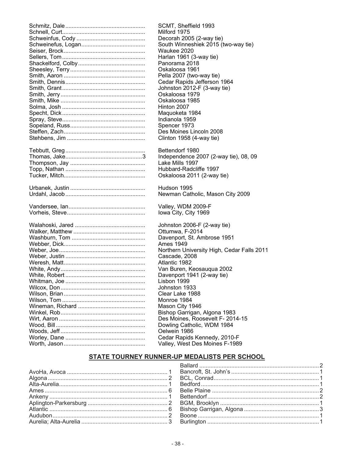| SCMT, Sheffield 1993                                           |
|----------------------------------------------------------------|
| Milford 1975                                                   |
| Decorah 2005 (2-way tie)                                       |
| South Winneshiek 2015 (two-way tie)                            |
| Waukee 2020                                                    |
| Harlan 1961 (3-way tie)                                        |
| Panorama 2018                                                  |
| Oskaloosa 1961                                                 |
| Pella 2007 (two-way tie)                                       |
| Cedar Rapids Jefferson 1964                                    |
| Johnston 2012-F (3-way tie)                                    |
| Oskaloosa 1979                                                 |
| Oskaloosa 1985                                                 |
| Hinton 2007                                                    |
| Maquoketa 1984                                                 |
| Indianola 1959                                                 |
| Spencer 1973                                                   |
|                                                                |
| Des Moines Lincoln 2008                                        |
| Clinton 1958 (4-way tie)                                       |
| Bettendorf 1980                                                |
| Independence 2007 (2-way tie), 08, 09                          |
| Lake Mills 1997                                                |
| Hubbard-Radcliffe 1997                                         |
| Oskaloosa 2011 (2-way tie)                                     |
|                                                                |
| Hudson 1995                                                    |
| Newman Catholic, Mason City 2009                               |
| Valley, WDM 2009-F                                             |
|                                                                |
|                                                                |
| Iowa City, City 1969                                           |
|                                                                |
| Johnston 2006-F (2-way tie)                                    |
| Ottumwa, F-2014                                                |
| Davenport, St. Ambrose 1951                                    |
| Ames 1949                                                      |
| Northern University High, Cedar Falls 2011                     |
| Cascade, 2008                                                  |
| Atlantic 1982                                                  |
| Van Buren, Keosauqua 2002                                      |
| Davenport 1941 (2-way tie)                                     |
| Lisbon 1999                                                    |
| Johnston 1933                                                  |
| Clear Lake 1988                                                |
| Monroe 1984                                                    |
| Mason City 1946                                                |
| Bishop Garrigan, Algona 1983                                   |
| Des Moines, Roosevelt F- 2014-15                               |
| Dowling Catholic, WDM 1984                                     |
| Oelwein 1986                                                   |
| Cedar Rapids Kennedy, 2010-F<br>Valley, West Des Moines F-1989 |

# STATE TOURNEY RUNNER-UP MEDALISTS PER SCHOOL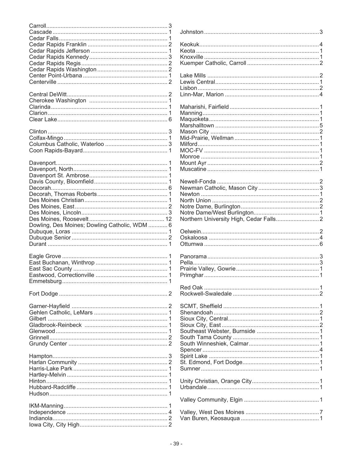|                                               | J<br>k<br>k<br>k<br>k<br>L<br>L<br>L      |
|-----------------------------------------------|-------------------------------------------|
|                                               | L<br>N<br>N<br>Ν                          |
|                                               | Ν<br>N<br>N<br>N<br>N<br>Λ                |
| Dowling, Des Moines; Dowling Catholic, WDM  6 | Λ<br>Ν<br>Ν<br>Ν<br>Ν<br>Ν<br>Ν<br>Ν<br>N |
|                                               | C<br>C                                    |
|                                               | F<br>F<br>F<br>F<br>F                     |
|                                               | F                                         |
|                                               | S<br>ים ים ים ים ים ים ים ים              |
|                                               | ι                                         |
|                                               | $\overline{\mathcal{L}}$<br>\<br>\        |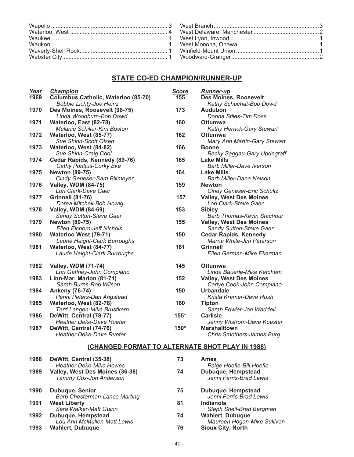# **STATE CO-ED CHAMPION/RUNNER-UP**

| Year | Champion                                           | <b>Score</b> | <b>Runner-up</b>                                                    |
|------|----------------------------------------------------|--------------|---------------------------------------------------------------------|
| 1969 | Columbus Catholic, Waterloo (85-70)                | 155          | <b>Des Moines, Roosevelt</b>                                        |
|      | <b>Bobbie Lichty-Joe Heinz</b>                     |              | Kathy Schuchat-Bob Dowd                                             |
| 1970 | Des Moines, Roosevelt (98-75)                      | 173          | <b>Audubon</b>                                                      |
|      | Linda Woodburn-Bob Dowd                            |              | Donna Stiles-Tim Ross                                               |
| 1971 | Waterloo, East (82-78)                             | 160          | Ottumwa                                                             |
|      | Melanie Schiller-Kim Boston                        |              | Kathy Herrick-Gary Stewart                                          |
| 1972 | Waterloo, West (85-77)                             | 162          | <b>Ottumwa</b>                                                      |
|      | Sue Shinn-Scott Olsen                              |              | Mary Ann Martin-Gary Stewart                                        |
| 1973 | Waterloo, West (84-82)                             | 166          | <b>Boone</b>                                                        |
|      | Sue Shinn-Craig Cool                               |              | <b>Becky Saggau-Gary Updegraff</b>                                  |
| 1974 | Cedar Rapids, Kennedy (89-76)                      | 165          | <b>Lake Mills</b>                                                   |
|      | <b>Cathy Pontius-Corky Eke</b>                     |              | <b>Barb Miller-Dave Iverson</b>                                     |
| 1975 | <b>Newton (89-75)</b>                              | 164          | <b>Lake Mills</b>                                                   |
| 1976 | Cindy Geneser-Sam Billmeyer                        | 159          | <b>Barb Miller-Dana Nelson</b><br><b>Newton</b>                     |
|      | <b>Valley, WDM (84-75)</b><br>Lori Clark-Dave Gaer |              |                                                                     |
| 1977 | <b>Grinnell (81-76)</b>                            | 157          | <b>Cindy Geneser-Eric Schultz</b><br><b>Valley, West Des Moines</b> |
|      | Dorea Mitchell-Bob Howig                           |              | Lori Clark-Steve Gaer                                               |
| 1978 | <b>Valley, WDM (84-69)</b>                         | 153          | <b>Sibley</b>                                                       |
|      | Sandy Sutton-Steve Gaer                            |              | <b>Barb Thomas-Kevin Stachour</b>                                   |
| 1979 | <b>Newton (80-75)</b>                              | 155          | <b>Valley, West Des Moines</b>                                      |
|      | <b>Ellen Eichorn-Jeff Nichols</b>                  |              | Sandy Sutton-Steve Gaer                                             |
| 1980 | Waterloo West (79-71)                              | 150          | <b>Cedar Rapids, Kennedy</b>                                        |
|      | Laurie Haight-Clark Burroughs                      |              | Marna White-Jim Peterson                                            |
| 1981 | Waterloo, West (84-77)                             | 161          | <b>Grinnell</b>                                                     |
|      | Laurie Haight-Clark Burroughs                      |              | Ellen German-Mike Ekerman                                           |
|      |                                                    |              |                                                                     |
| 1982 | <b>Valley, WDM (71-74)</b>                         | 145          | <b>Ottumwa</b>                                                      |
|      | Lori Gaffney-John Compiano                         |              | Linda Bauerle-Mike Ketcham                                          |
| 1983 | Linn-Mar, Marion (81-71)                           | 152          | <b>Valley, West Des Moines</b>                                      |
|      | Sarah Burns-Rob Wilson                             |              | Carlye Cook-John Compiano                                           |
| 1984 | <b>Ankeny (76-74)</b>                              | 150          | Urbandale                                                           |
|      | Penni Peters-Dan Angstead                          |              | Krista Kramer-Dave Rush                                             |
| 1985 | Waterloo, West (82-78)                             | 160          | <b>Tipton</b>                                                       |
|      | Terri Langen-Mike Brustkern                        |              | Sarah Fowler-Jon Waddell                                            |
| 1986 | DeWitt, Central (78-77)                            | $155*$       | Carlisle                                                            |
|      | <b>Heather Deke-Dave Rueter</b>                    |              | Jenny Wistrom-Dave Koester                                          |
| 1987 | DeWitt, Central (74-76)                            | 150*         | <b>Marshalltown</b>                                                 |
|      | <b>Heather Deke-Dave Rueter</b>                    |              | <b>Chris Smothers-James Burg</b>                                    |
|      | (CHANGED FORMAT TO ALTERNATE SHOT PLAY IN 1988)    |              |                                                                     |
|      |                                                    |              |                                                                     |
| 1988 | DeWitt, Central (35-38)                            | 73           | Ames                                                                |

| 1988 | Dewitt, Central (35-38)<br><b>Heather Deke-Mike Howes</b> | 73 | <b>Ames</b><br>Paige Hoefle-Bill Hoefle                |
|------|-----------------------------------------------------------|----|--------------------------------------------------------|
| 1989 | Valley, West Des Moines (36-38)<br>Tammy Cox-Jon Anderson | 74 | Dubuque, Hempstead<br>Jenni Ferris-Brad Lewis          |
| 1990 | Dubuque, Senior<br><b>Barb Chesterman-Lance Marting</b>   | 75 | Dubuque, Hempstead<br>Jenni Ferris-Brad Lewis          |
| 1991 | <b>West Liberty</b><br>Sara Walker-Matt Guinn             | 81 | Indianola<br>Steph Sheil-Brad Bergman                  |
| 1992 | Dubuque, Hempstead<br>Lou Ann McMullen-Matt Lewis         | 74 | <b>Wahlert, Dubuque</b><br>Maureen Hogan-Mike Sullivan |
| 1993 | <b>Wahlert, Dubuque</b>                                   | 76 | <b>Sioux City, North</b>                               |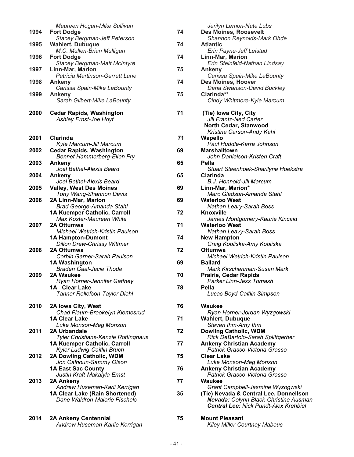|      | Maureen Hogan-Mike Sullivan                |    | Jerilyn Lemon-Nate Lubs                                |
|------|--------------------------------------------|----|--------------------------------------------------------|
| 1994 | <b>Fort Dodge</b>                          | 74 | <b>Des Moines, Roosevelt</b>                           |
|      | <b>Stacey Bergman-Jeff Peterson</b>        |    | Shannon Reynolds-Mark Ohde                             |
| 1995 | Wahlert, Dubuque                           | 74 | <b>Atlantic</b>                                        |
|      | M.C. Mullen-Brian Mulligan                 |    | Erin Payne-Jeff Leistad                                |
| 1996 | <b>Fort Dodge</b>                          | 74 | Linn-Mar, Marion                                       |
|      | <b>Stacey Bergman-Matt McIntyre</b>        |    | Erin Steinfeld-Nathan Lindsay                          |
| 1997 | <b>Linn-Mar, Marion</b>                    | 75 | Ankeny                                                 |
|      | Patricia Martinson-Garrett Lane            |    | Carissa Spain-Mike LaBounty                            |
| 1998 | Ankeny                                     | 74 | Des Moines, Hoover                                     |
|      | Carissa Spain-Mike LaBounty                |    | Dana Swanson-David Buckley                             |
| 1999 | Ankeny                                     | 75 | Clarinda**                                             |
|      | Sarah Gilbert-Mike LaBounty                |    | Cindy Whitmore-Kyle Marcum                             |
|      |                                            |    |                                                        |
| 2000 | <b>Cedar Rapids, Washington</b>            | 71 | (Tie) Iowa City, City                                  |
|      | <b>Ashley Ernst-Joe Hoyt</b>               |    | Jill Frantz-Ned Carter                                 |
|      |                                            |    | North Cedar, Stanwood                                  |
|      |                                            |    | Kristina Carson-Andy Kahl                              |
| 2001 | Clarinda                                   | 71 | <b>Wapello</b>                                         |
|      | Kyle Marcum-Jill Marcum                    |    | Paul Huddle-Karra Johnson                              |
| 2002 | <b>Cedar Rapids, Washington</b>            | 69 | <b>Marshalltown</b>                                    |
|      |                                            |    | John Danielson-Kristen Craft                           |
| 2003 | <b>Bennet Hammerberg-Ellen Fry</b>         | 65 | Pella                                                  |
|      | Ankeny                                     |    |                                                        |
|      | Joel Bethel-Alexis Beard                   |    | Stuart Steenhoek-Sharilyne Hoekstra<br><b>Clarinda</b> |
| 2004 | Ankeny                                     | 65 |                                                        |
|      | Joel Bethel-Alexis Beard                   |    | B.J. Honnold-Jill Marcum                               |
| 2005 | <b>Valley, West Des Moines</b>             | 69 | Linn-Mar, Marion*                                      |
|      | Tony Wang-Shannon Davis                    |    | Marc Gladson-Amanda Stahl                              |
| 2006 | 2A Linn-Mar, Marion                        | 69 | <b>Waterloo West</b>                                   |
|      | <b>Brad George-Amanda Stahl</b>            |    | Nathan Leary-Sarah Boss                                |
|      | 1A Kuemper Catholic, Carroll               | 72 | Knoxville                                              |
|      | Max Koster-Maureen White                   |    | James Montgomery-Kaurie Kincaid                        |
| 2007 | 2A Ottumwa                                 | 71 | <b>Waterloo West</b>                                   |
|      | Michael Wetrich-Kristin Paulson            |    | Nathan Leavy-Sarah Boss                                |
|      | <b>1A Hampton-Dumont</b>                   | 74 | <b>New Hampton</b>                                     |
|      | <b>Dillon Drew-Chrissy Wittmer</b>         |    | Craig Kobliska-Amy Kobliska                            |
| 2008 | 2A Ottumwa                                 | 72 | Ottumwa                                                |
|      | Corbin Garner-Sarah Paulson                |    | <b>Michael Wetrich-Kristin Paulson</b>                 |
|      | <b>1A Washington</b>                       | 69 | <b>Ballard</b>                                         |
|      | <b>Braden Gaal-Jacie Thode</b>             |    | Mark Kirschenman-Susan Mark                            |
| 2009 | 2A Waukee                                  | 70 | <b>Prairie, Cedar Rapids</b>                           |
|      | Ryan Horner-Jennifer Gaffney               |    | Parker Linn-Jess Tomash                                |
|      | 1A Clear Lake                              | 78 | Pella                                                  |
|      | Tanner Rollefson-Taylor Diehl              |    | Lucas Boyd-Caitlin Simpson                             |
|      |                                            |    |                                                        |
| 2010 | 2A Iowa City, West                         | 76 | <b>Waukee</b>                                          |
|      | Chad Flaum-Brookelyn Klemesrud             |    | Ryan Horner-Jordan Wyzgowski                           |
|      | <b>1A Clear Lake</b>                       | 71 | <b>Wahlert, Dubuque</b>                                |
|      | Luke Monson-Meg Monson                     |    | Steven Ihm-Amy Ihm                                     |
| 2011 | 2A Urbandale                               | 72 | <b>Dowling Catholic, WDM</b>                           |
|      | <b>Tyler Christians-Kenzie Rottinghaus</b> |    | Rick DeBartolo-Sarah Splittgerber                      |
|      | 1A Kuemper Catholic, Carroll               | 77 | <b>Ankeny Christian Academy</b>                        |
|      | Kyler Ludwig-Caitlin Bruch                 |    | Patrick Grasso-Victoria Grasso                         |
| 2012 | 2A Dowling Catholic, WDM                   | 75 | <b>Clear Lake</b>                                      |
|      | Jon Calhoun-Sammy Olson                    |    | Luke Monson-Meg Monson                                 |
|      | <b>1A East Sac County</b>                  | 76 | <b>Ankeny Christian Academy</b>                        |
|      | Justin Kraft-Makalyla Ernst                |    | Patrick Grasso-Victoria Grasso                         |
| 2013 | 2A Ankeny                                  | 77 | <b>Waukee</b>                                          |
|      | Andrew Huseman-Karli Kerrigan              |    | Grant Campbell-Jasmine Wyzogwski                       |
|      | 1A Clear Lake (Rain Shortened)             | 35 | (Tie) Nevada & Central Lee, Donnellson                 |
|      | Dane Waldron-Malorie Fischels              |    | Nevada: Colynn Black-Christine Ausman                  |
|      |                                            |    | <b>Central Lee: Nick Pundt-Alex Krehbiel</b>           |
|      |                                            |    |                                                        |
| 2014 | <b>2A Ankeny Centennial</b>                | 75 | <b>Mount Pleasant</b>                                  |
|      | Andrew Huseman-Karlie Kerrigan             |    | <b>Kiley Miller-Courtney Mabeus</b>                    |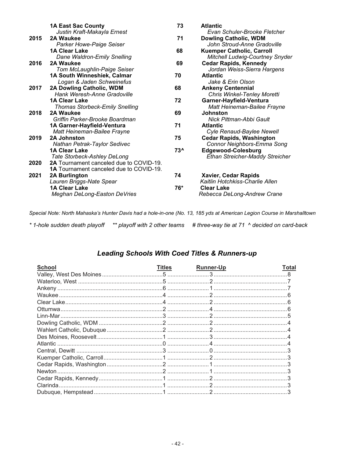|      | <b>1A East Sac County</b><br>Justin Kraft-Makayla Ernest               | 73    | <b>Atlantic</b><br>Evan Schuler-Brooke Fletcher         |
|------|------------------------------------------------------------------------|-------|---------------------------------------------------------|
| 2015 | 2A Waukee                                                              | 71    | <b>Dowling Catholic, WDM</b>                            |
|      | Parker Howe-Paige Seiser                                               |       | John Stroud-Anne Gradoville                             |
|      | <b>1A Clear Lake</b>                                                   | 68    | <b>Kuemper Catholic, Carroll</b>                        |
|      | Dane Waldron-Emily Snelling                                            |       | <b>Mitchell Ludwig-Courtney Snyder</b>                  |
| 2016 | 2A Waukee                                                              | 69    | <b>Cedar Rapids, Kennedy</b>                            |
|      | Tom McLaughlin-Paige Seiser                                            |       | Jordan Weiss-Sierra Hargens                             |
|      | 1A South Winneshiek, Calmar                                            | 70    | <b>Atlantic</b>                                         |
|      | Logan & Jaden Schweinefus                                              |       | Jake & Erin Olson                                       |
| 2017 | 2A Dowling Catholic, WDM                                               | 68    | <b>Ankeny Centennial</b>                                |
|      | Hank Weresh-Anne Gradoville                                            |       | <b>Chris Winkel-Tenley Moretti</b>                      |
|      | <b>1A Clear Lake</b>                                                   | 72    | Garner-Hayfield-Ventura                                 |
|      | <b>Thomas Storbeck-Emily Snelling</b>                                  |       | Matt Heineman-Bailee Frayne                             |
| 2018 | 2A Waukee                                                              | 69    | <b>Johnston</b>                                         |
|      | Griffin Parker-Brooke Boardman                                         |       | Nick Pittman-Abbi Gault                                 |
|      | 1A Garner-Hayfield-Ventura                                             | 71    | <b>Atlantic</b>                                         |
|      | Matt Heineman-Bailee Frayne                                            |       | Cyle Renaud-Baylee Newell                               |
| 2019 | 2A Johnston                                                            | 75    | <b>Cedar Rapids, Washington</b>                         |
|      | Nathan Petrak-Taylor Sedivec                                           |       | Connor Neighbors-Emma Song                              |
|      | <b>1A Clear Lake</b>                                                   | 73^   | <b>Edgewood-Colesburg</b>                               |
|      | Tate Storbeck-Ashley DeLong<br>2A Tournament canceled due to COVID-19. |       | <b>Ethan Streicher-Maddy Streicher</b>                  |
| 2020 | <b>1A</b> Tournament canceled due to COVID-19.                         |       |                                                         |
| 2021 |                                                                        | 74    |                                                         |
|      | 2A Burlington                                                          |       | Xavier, Cedar Rapids<br>Kaitlin Hotchkiss-Charlie Allen |
|      | Lauren Briggs-Nate Spear<br><b>1A Clear Lake</b>                       | $76*$ | <b>Clear Lake</b>                                       |
|      |                                                                        |       |                                                         |
|      | <b>Meghan DeLong-Easton DeVries</b>                                    |       | Rebecca DeLong-Andrew Crane                             |

*Special Note: North Mahaska's Hunter Davis had a hole-in-one (No. 13, 185 yds at American Legion Course in Marshalltown*

*\* 1-hole sudden death playoff \*\* playoff with 2 other teams # three-way tie at 71 ^ decided on card-back*

# *Leading Schools With Coed Titles & Runners-up*

| <b>School</b> | <b>Titles</b> | <b>Runner-Up</b> | Total |
|---------------|---------------|------------------|-------|
|               |               |                  |       |
|               |               |                  |       |
|               |               |                  |       |
|               |               |                  |       |
|               |               |                  |       |
|               |               |                  |       |
|               |               |                  |       |
|               |               |                  |       |
|               |               |                  |       |
|               |               |                  |       |
|               |               |                  |       |
|               |               |                  |       |
|               |               |                  |       |
|               |               |                  |       |
|               |               |                  |       |
|               |               |                  |       |
|               |               |                  |       |
|               |               |                  |       |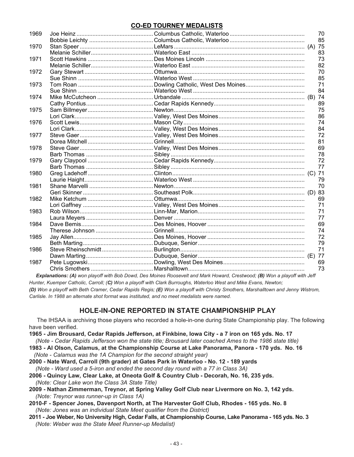# **CO-ED TOURNEY MEDALISTS**

| 1969 |                                                                                                                           | 70 |
|------|---------------------------------------------------------------------------------------------------------------------------|----|
|      |                                                                                                                           | 85 |
| 1970 |                                                                                                                           |    |
|      |                                                                                                                           | 83 |
| 1971 |                                                                                                                           | 73 |
|      |                                                                                                                           | 82 |
| 1972 |                                                                                                                           | 70 |
|      |                                                                                                                           | 85 |
| 1973 |                                                                                                                           | 71 |
|      |                                                                                                                           | 84 |
| 1974 |                                                                                                                           |    |
|      |                                                                                                                           | 89 |
| 1975 |                                                                                                                           | 75 |
|      |                                                                                                                           | 86 |
| 1976 |                                                                                                                           | 74 |
|      |                                                                                                                           | 84 |
| 1977 |                                                                                                                           | 72 |
|      |                                                                                                                           | 81 |
| 1978 |                                                                                                                           | 69 |
|      |                                                                                                                           | 78 |
| 1979 |                                                                                                                           | 72 |
|      |                                                                                                                           | 77 |
| 1980 |                                                                                                                           |    |
|      |                                                                                                                           | 79 |
| 1981 |                                                                                                                           | 70 |
|      |                                                                                                                           |    |
| 1982 |                                                                                                                           | 69 |
|      |                                                                                                                           | 71 |
| 1983 |                                                                                                                           | 71 |
|      |                                                                                                                           | 77 |
| 1984 |                                                                                                                           | 69 |
|      |                                                                                                                           | 74 |
| 1985 |                                                                                                                           | 72 |
|      |                                                                                                                           | 79 |
| 1986 |                                                                                                                           | 71 |
|      |                                                                                                                           |    |
| 1987 |                                                                                                                           | 69 |
|      |                                                                                                                           | 73 |
|      | Explanations: (A) won playoff with Bob Dowd, Des Moines Roosevelt and Mark Howard, Crestwood; (B) Won a playoff with Jeff |    |

*Hunter, Kuemper Catholic, Carroll; (C) Won a playoff with Clark Burroughs, Waterloo West and Mike Evans, Newton; (D) Won a playoff with Beth Cramer, Cedar Rapids Regis; (E) Won a playoff with Christy Smothers, Marshalltown and Jenny Wistrom, Carlisle. In 1988 an alternate shot format was instituted, and no meet medalists were named.*

# **HOLE-IN-ONE REPORTED IN STATE CHAMPIONSHIP PLAY**

 The IHSAA is archiving those players who recorded a hole-in-one during State Championship play. The following have been verified.

- **1965 - Jim Brousard, Cedar Rapids Jefferson, at Finkbine, Iowa City - a 7 iron on 165 yds. No. 17** *(Note - Cedar Rapids Jefferson won the state title; Brousard later coached Ames to the 1986 state title)*
- **1983 - Al Olson, Calamus, at the Championship Course at Lake Panorama, Panora - 170 yds. No. 16** *(Note - Calamus was the 1A Champion for the second straight year)*
- **2000 - Nate Ward, Carroll (9th grader) at Gates Park in Waterloo - No. 12 - 189 yards** *(Note - Ward used a 5-iron and ended the second day round with a 77 in Class 3A)*
- **2006 - Quincy Law, Clear Lake, at Oneota Golf & Country Club - Decorah, No. 16, 235 yds.** *(Note: Clear Lake won the Class 3A State Title)*
- **2009 - Nathan Zimmerman, Treynor, at Spring Valley Golf Club near Livermore on No. 3, 142 yds.** *(Note: Treynor was runner-up in Class 1A)*
- **2010-F - Spencer Jones, Davenport North, at The Harvester Golf Club, Rhodes - 165 yds. No. 8** *(Note: Jones was an individual State Meet qualifier from the District)*
- **2011 - Joe Weber, No University High, Cedar Falls, at Championship Course, Lake Panorama - 165 yds. No. 3** *(Note: Weber was the State Meet Runner-up Medalist)*